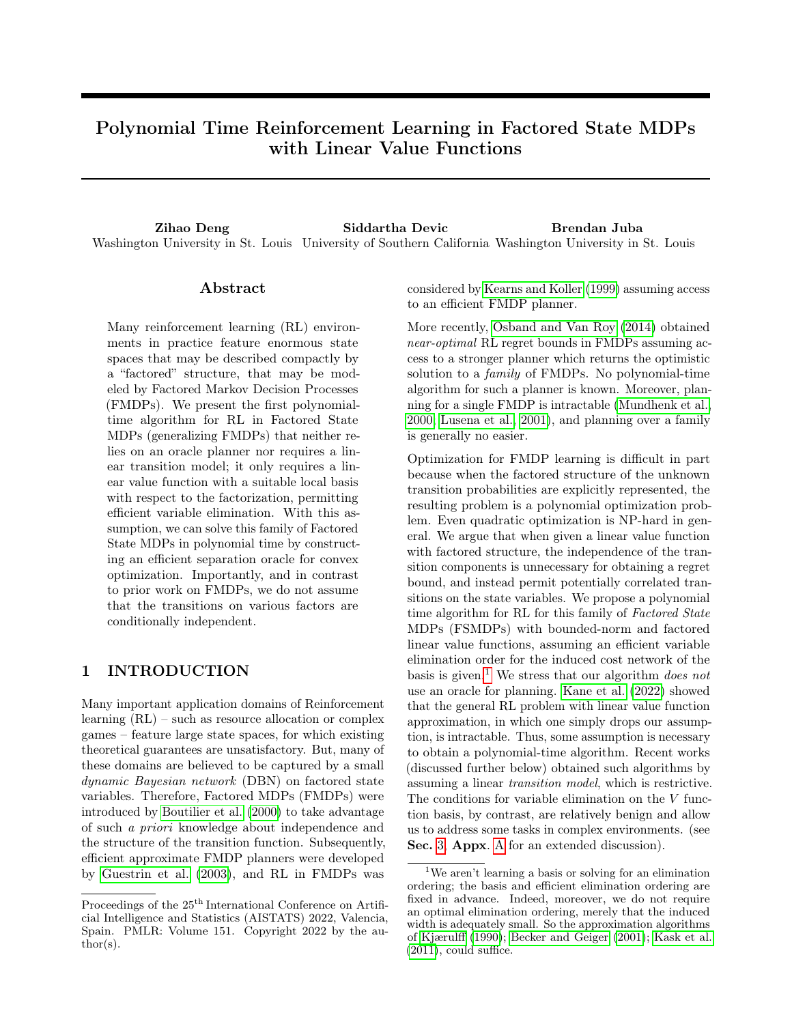# Polynomial Time Reinforcement Learning in Factored State MDPs with Linear Value Functions

Zihao Deng Siddartha Devic Brendan Juba Washington University in St. Louis University of Southern California Washington University in St. Louis

## Abstract

Many reinforcement learning (RL) environments in practice feature enormous state spaces that may be described compactly by a "factored" structure, that may be modeled by Factored Markov Decision Processes (FMDPs). We present the first polynomialtime algorithm for RL in Factored State MDPs (generalizing FMDPs) that neither relies on an oracle planner nor requires a linear transition model; it only requires a linear value function with a suitable local basis with respect to the factorization, permitting efficient variable elimination. With this assumption, we can solve this family of Factored State MDPs in polynomial time by constructing an efficient separation oracle for convex optimization. Importantly, and in contrast to prior work on FMDPs, we do not assume that the transitions on various factors are conditionally independent.

# 1 INTRODUCTION

Many important application domains of Reinforcement learning (RL) – such as resource allocation or complex games – feature large state spaces, for which existing theoretical guarantees are unsatisfactory. But, many of these domains are believed to be captured by a small dynamic Bayesian network (DBN) on factored state variables. Therefore, Factored MDPs (FMDPs) were introduced by [Boutilier et al.](#page-8-0) [\(2000\)](#page-8-0) to take advantage of such a priori knowledge about independence and the structure of the transition function. Subsequently, efficient approximate FMDP planners were developed by [Guestrin et al.](#page-9-0) [\(2003\)](#page-9-0), and RL in FMDPs was considered by [Kearns and Koller](#page-9-1) [\(1999\)](#page-9-1) assuming access to an efficient FMDP planner.

More recently, [Osband and Van Roy](#page-9-2) [\(2014\)](#page-9-2) obtained near-optimal RL regret bounds in FMDPs assuming access to a stronger planner which returns the optimistic solution to a family of FMDPs. No polynomial-time algorithm for such a planner is known. Moreover, planning for a single FMDP is intractable [\(Mundhenk et al.,](#page-9-3) [2000;](#page-9-3) [Lusena et al., 2001\)](#page-9-4), and planning over a family is generally no easier.

Optimization for FMDP learning is difficult in part because when the factored structure of the unknown transition probabilities are explicitly represented, the resulting problem is a polynomial optimization problem. Even quadratic optimization is NP-hard in general. We argue that when given a linear value function with factored structure, the independence of the transition components is unnecessary for obtaining a regret bound, and instead permit potentially correlated transitions on the state variables. We propose a polynomial time algorithm for RL for this family of Factored State MDPs (FSMDPs) with bounded-norm and factored linear value functions, assuming an efficient variable elimination order for the induced cost network of the basis is given.<sup>1</sup> We stress that our algorithm *does not* use an oracle for planning. [Kane et al.](#page-9-5) [\(2022\)](#page-9-5) showed that the general RL problem with linear value function approximation, in which one simply drops our assumption, is intractable. Thus, some assumption is necessary to obtain a polynomial-time algorithm. Recent works (discussed further below) obtained such algorithms by assuming a linear transition model, which is restrictive. The conditions for variable elimination on the V function basis, by contrast, are relatively benign and allow us to address some tasks in complex environments. (see Sec. [3,](#page-3-0) [A](#page-11-0)ppx. A for an extended discussion).

Proceedings of the  $25<sup>th</sup>$  International Conference on Artificial Intelligence and Statistics (AISTATS) 2022, Valencia, Spain. PMLR: Volume 151. Copyright 2022 by the au- $\text{thor}(s)$ .

<sup>1</sup>We aren't learning a basis or solving for an elimination ordering; the basis and efficient elimination ordering are fixed in advance. Indeed, moreover, we do not require an optimal elimination ordering, merely that the induced width is adequately small. So the approximation algorithms of [Kjærulff](#page-9-6) [\(1990\)](#page-9-6); [Becker and Geiger](#page-8-1) [\(2001\)](#page-8-1); [Kask et al.](#page-9-7) [\(2011\)](#page-9-7), could suffice.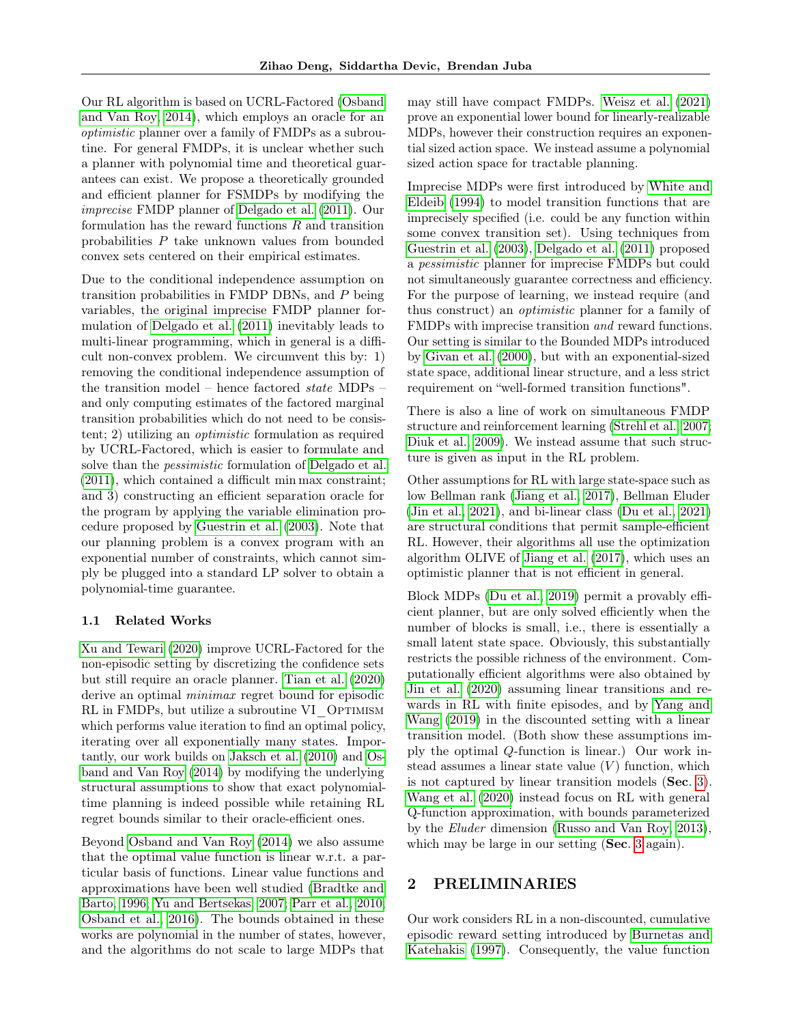Our RL algorithm is based on UCRL-Factored [\(Osband](#page-9-2) [and Van Roy, 2014\)](#page-9-2), which employs an oracle for an optimistic planner over a family of FMDPs as a subroutine. For general FMDPs, it is unclear whether such a planner with polynomial time and theoretical guarantees can exist. We propose a theoretically grounded and efficient planner for FSMDPs by modifying the imprecise FMDP planner of [Delgado et al.](#page-8-2) [\(2011\)](#page-8-2). Our formulation has the reward functions  $R$  and transition probabilities P take unknown values from bounded convex sets centered on their empirical estimates.

Due to the conditional independence assumption on transition probabilities in FMDP DBNs, and P being variables, the original imprecise FMDP planner formulation of [Delgado et al.](#page-8-2) [\(2011\)](#page-8-2) inevitably leads to multi-linear programming, which in general is a difficult non-convex problem. We circumvent this by: 1) removing the conditional independence assumption of the transition model – hence factored state MDPs – and only computing estimates of the factored marginal transition probabilities which do not need to be consistent; 2) utilizing an optimistic formulation as required by UCRL-Factored, which is easier to formulate and solve than the *pessimistic* formulation of [Delgado et al.](#page-8-2) [\(2011\)](#page-8-2), which contained a difficult min max constraint; and 3) constructing an efficient separation oracle for the program by applying the variable elimination procedure proposed by [Guestrin et al.](#page-9-0) [\(2003\)](#page-9-0). Note that our planning problem is a convex program with an exponential number of constraints, which cannot simply be plugged into a standard LP solver to obtain a polynomial-time guarantee.

## <span id="page-1-0"></span>1.1 Related Works

[Xu and Tewari](#page-10-0) [\(2020\)](#page-10-0) improve UCRL-Factored for the non-episodic setting by discretizing the confidence sets but still require an oracle planner. [Tian et al.](#page-10-1) [\(2020\)](#page-10-1) derive an optimal *minimax* regret bound for episodic RL in FMDPs, but utilize a subroutine VI OPTIMISM which performs value iteration to find an optimal policy, iterating over all exponentially many states. Importantly, our work builds on [Jaksch et al.](#page-9-8) [\(2010\)](#page-9-8) and [Os](#page-9-2)[band and Van Roy](#page-9-2) [\(2014\)](#page-9-2) by modifying the underlying structural assumptions to show that exact polynomialtime planning is indeed possible while retaining RL regret bounds similar to their oracle-efficient ones.

Beyond [Osband and Van Roy](#page-9-2) [\(2014\)](#page-9-2) we also assume that the optimal value function is linear w.r.t. a particular basis of functions. Linear value functions and approximations have been well studied [\(Bradtke and](#page-8-3) [Barto, 1996;](#page-8-3) [Yu and Bertsekas, 2007;](#page-10-2) [Parr et al., 2010;](#page-9-9) [Osband et al., 2016\)](#page-9-10). The bounds obtained in these works are polynomial in the number of states, however, and the algorithms do not scale to large MDPs that may still have compact FMDPs. [Weisz et al.](#page-10-3) [\(2021\)](#page-10-3) prove an exponential lower bound for linearly-realizable MDPs, however their construction requires an exponential sized action space. We instead assume a polynomial sized action space for tractable planning.

Imprecise MDPs were first introduced by [White and](#page-10-4) [Eldeib](#page-10-4) [\(1994\)](#page-10-4) to model transition functions that are imprecisely specified (i.e. could be any function within some convex transition set). Using techniques from [Guestrin et al.](#page-9-0) [\(2003\)](#page-9-0), [Delgado et al.](#page-8-2) [\(2011\)](#page-8-2) proposed a pessimistic planner for imprecise FMDPs but could not simultaneously guarantee correctness and efficiency. For the purpose of learning, we instead require (and thus construct) an optimistic planner for a family of FMDPs with imprecise transition and reward functions. Our setting is similar to the Bounded MDPs introduced by [Givan et al.](#page-9-11) [\(2000\)](#page-9-11), but with an exponential-sized state space, additional linear structure, and a less strict requirement on "well-formed transition functions".

There is also a line of work on simultaneous FMDP structure and reinforcement learning [\(Strehl et al., 2007;](#page-9-12) [Diuk et al., 2009\)](#page-8-4). We instead assume that such structure is given as input in the RL problem.

Other assumptions for RL with large state-space such as low Bellman rank [\(Jiang et al., 2017\)](#page-9-13), Bellman Eluder [\(Jin et al., 2021\)](#page-9-14), and bi-linear class [\(Du et al., 2021\)](#page-9-15) are structural conditions that permit sample-efficient RL. However, their algorithms all use the optimization algorithm OLIVE of [Jiang et al.](#page-9-13) [\(2017\)](#page-9-13), which uses an optimistic planner that is not efficient in general.

Block MDPs [\(Du et al., 2019\)](#page-8-5) permit a provably efficient planner, but are only solved efficiently when the number of blocks is small, i.e., there is essentially a small latent state space. Obviously, this substantially restricts the possible richness of the environment. Computationally efficient algorithms were also obtained by [Jin et al.](#page-9-16) [\(2020\)](#page-9-16) assuming linear transitions and rewards in RL with finite episodes, and by [Yang and](#page-10-5) [Wang](#page-10-5) [\(2019\)](#page-10-5) in the discounted setting with a linear transition model. (Both show these assumptions imply the optimal Q-function is linear.) Our work instead assumes a linear state value  $(V)$  function, which is not captured by linear transition models (Sec. [3\)](#page-3-0). [Wang et al.](#page-10-6) [\(2020\)](#page-10-6) instead focus on RL with general Q-function approximation, with bounds parameterized by the Eluder dimension [\(Russo and Van Roy, 2013\)](#page-9-17), which may be large in our setting (Sec. [3](#page-3-0) again).

# 2 PRELIMINARIES

Our work considers RL in a non-discounted, cumulative episodic reward setting introduced by [Burnetas and](#page-8-6) [Katehakis](#page-8-6) [\(1997\)](#page-8-6). Consequently, the value function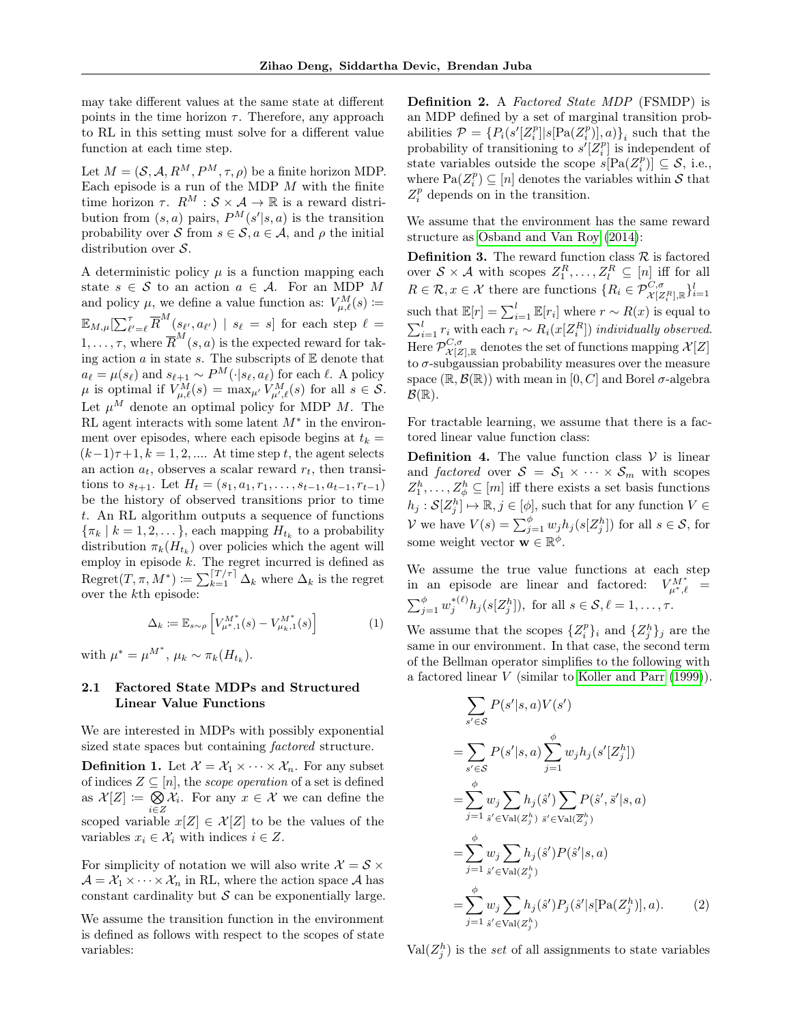may take different values at the same state at different points in the time horizon  $\tau$ . Therefore, any approach to RL in this setting must solve for a different value function at each time step.

Let  $M = (\mathcal{S}, \mathcal{A}, R^M, P^M, \tau, \rho)$  be a finite horizon MDP. Each episode is a run of the MDP  $M$  with the finite time horizon  $\tau$ .  $R^M : \mathcal{S} \times \mathcal{A} \to \mathbb{R}$  is a reward distribution from  $(s, a)$  pairs,  $P^{M}(s'|s, a)$  is the transition probability over S from  $s \in \mathcal{S}, a \in \mathcal{A}$ , and  $\rho$  the initial distribution over  $S$ .

A deterministic policy  $\mu$  is a function mapping each state  $s \in \mathcal{S}$  to an action  $a \in \mathcal{A}$ . For an MDP M and policy  $\mu$ , we define a value function as:  $V_{\mu,\ell}^{M}(s) \coloneqq$  $\mathbb{E}_{M,\mu}[\sum_{\ell'= \ell}^{\tau} \overline{R}^M(s_{\ell'},a_{\ell'}) \,\mid\, s_{\ell}\,=\, s] \, \text{ for each step } \ell\,=\,$  $1, \ldots, \tau$ , where  $\overline{R}^M(s, a)$  is the expected reward for taking action  $a$  in state  $s$ . The subscripts of  $E$  denote that  $a_{\ell} = \mu(s_{\ell})$  and  $s_{\ell+1} \sim P^M(\cdot|s_{\ell}, a_{\ell})$  for each  $\ell$ . A policy  $\mu$  is optimal if  $V_{\mu,\ell}^M(s) = \max_{\mu'} V_{\mu',\ell}^M(s)$  for all  $s \in \mathcal{S}$ . Let  $\mu^M$  denote an optimal policy for MDP M. The RL agent interacts with some latent  $M^*$  in the environment over episodes, where each episode begins at  $t_k =$  $(k-1)\tau+1, k = 1, 2, \dots$  At time step t, the agent selects an action  $a_t$ , observes a scalar reward  $r_t$ , then transitions to  $s_{t+1}$ . Let  $H_t = (s_1, a_1, r_1, \ldots, s_{t-1}, a_{t-1}, r_{t-1})$ be the history of observed transitions prior to time t. An RL algorithm outputs a sequence of functions  $\{\pi_k \mid k = 1, 2, \dots\}$ , each mapping  $H_{t_k}$  to a probability distribution  $\pi_k(H_{t_k})$  over policies which the agent will employ in episode k. The regret incurred is defined as  $\mathrm{Regret}(T, \pi, M^*) \coloneqq \sum_{k=1}^{[T/\tau]} \Delta_k$  where  $\Delta_k$  is the regret over the kth episode:

$$
\Delta_k := \mathbb{E}_{s \sim \rho} \left[ V_{\mu^*, 1}^{M^*}(s) - V_{\mu_k, 1}^{M^*}(s) \right] \tag{1}
$$

with  $\mu^* = \mu^{M^*}, \mu_k \sim \pi_k(H_{t_k}).$ 

# 2.1 Factored State MDPs and Structured Linear Value Functions

We are interested in MDPs with possibly exponential sized state spaces but containing factored structure.

**Definition 1.** Let  $\mathcal{X} = \mathcal{X}_1 \times \cdots \times \mathcal{X}_n$ . For any subset of indices  $Z \subseteq [n]$ , the *scope operation* of a set is defined as  $\mathcal{X}[Z] \coloneqq \bigotimes$  $\bigotimes_{i\in\mathbb{Z}}\mathcal{X}_i$ . For any  $x\in\mathcal{X}$  we can define the scoped variable  $x[Z] \in \mathcal{X}[Z]$  to be the values of the variables  $x_i \in \mathcal{X}_i$  with indices  $i \in \mathbb{Z}$ .

For simplicity of notation we will also write  $\mathcal{X} = \mathcal{S} \times$  $\mathcal{A} = \mathcal{X}_1 \times \cdots \times \mathcal{X}_n$  in RL, where the action space A has constant cardinality but  $S$  can be exponentially large.

We assume the transition function in the environment is defined as follows with respect to the scopes of state variables:

Definition 2. A Factored State MDP (FSMDP) is an MDP defined by a set of marginal transition probabilities  $\mathcal{P} = \{P_i(s'[Z_i^p]|s[\text{Pa}(Z_i^p)],a)\}_i$  such that the probability of transitioning to  $s'[Z_i^p]$  is independent of state variables outside the scope  $s[Pa(Z_i^p)] \subseteq S$ , i.e., where  $\text{Pa}(Z_i^p) \subseteq [n]$  denotes the variables within S that  $Z_i^p$  depends on in the transition.

We assume that the environment has the same reward structure as [Osband and Van Roy](#page-9-2) [\(2014\)](#page-9-2):

**Definition 3.** The reward function class  $\mathcal{R}$  is factored over  $S \times A$  with scopes  $Z_1^R, \ldots, Z_l^R \subseteq [n]$  iff for all  $R \in \mathcal{R}, x \in \mathcal{X}$  there are functions  $\{R_i \in \mathcal{P}_{\mathcal{X}[Z_i^R], \mathbb{R}}^{C, \sigma} \}_{i=1}^l$ such that  $\mathbb{E}[r] = \sum_{i=1}^{l} \mathbb{E}[r_i]$  where  $r \sim R(x)$  is equal to  $\sum_{i=1}^{l} r_i$  with each  $r_i \sim R_i(x[Z_i^R])$  individually observed. Here  $\mathcal{P}^{C,\sigma}_{\mathcal{X}[Z],\mathbb{R}}$  denotes the set of functions mapping  $\mathcal{X}[Z]$ to  $\sigma$ -subgaussian probability measures over the measure space  $(\mathbb{R}, \mathcal{B}(\mathbb{R}))$  with mean in [0, C] and Borel  $\sigma$ -algebra  $\mathcal{B}(\mathbb{R})$ .

For tractable learning, we assume that there is a factored linear value function class:

<span id="page-2-0"></span>**Definition 4.** The value function class  $V$  is linear and factored over  $S = S_1 \times \cdots \times S_m$  with scopes  $Z_1^h, \ldots, Z_\phi^h \subseteq [m]$  iff there exists a set basis functions  $h_j: \mathcal{S}[Z_j^h] \mapsto \mathbb{R}, j \in [\phi],$  such that for any function  $V \in$ V we have  $V(s) = \sum_{j=1}^{b} w_j h_j(s[Z_j^h])$  for all  $s \in S$ , for some weight vector  $\mathbf{w} \in \mathbb{R}^{\phi}$ .

We assume the true value functions at each step in an episode are linear and factored:  $V_{\mu^*,\ell}^{M^*}$  =  $\sum_{j=1}^{\phi} w_j^{*(\ell)} h_j(s[Z_j^h])$ , for all  $s \in \mathcal{S}, \ell = 1, \ldots, \tau$ .

We assume that the scopes  $\{Z_i^p\}_i$  and  $\{Z_j^h\}_j$  are the same in our environment. In that case, the second term of the Bellman operator simplifies to the following with a factored linear V (similar to [Koller and Parr](#page-9-18) [\(1999\)](#page-9-18)).

$$
\sum_{s' \in S} P(s'|s, a) V(s')
$$
\n
$$
= \sum_{s' \in S} P(s'|s, a) \sum_{j=1}^{\phi} w_j h_j(s'[Z_j^h])
$$
\n
$$
= \sum_{j=1}^{\phi} w_j \sum_{s' \in \text{Val}(Z_j^h)} h_j(s') \sum_{s' \in \text{Val}(\overline{Z}_j^h)} P(\hat{s}', \overline{s}'|s, a)
$$
\n
$$
= \sum_{j=1}^{\phi} w_j \sum_{s' \in \text{Val}(Z_j^h)} h_j(\hat{s}') P(\hat{s}'|s, a)
$$
\n
$$
= \sum_{j=1}^{\phi} w_j \sum_{s' \in \text{Val}(Z_j^h)} h_j(\hat{s}') P_j(\hat{s}'|s[\text{Pa}(Z_j^h)], a). \tag{2}
$$

<span id="page-2-1"></span> $Val(Z_j^h)$  is the set of all assignments to state variables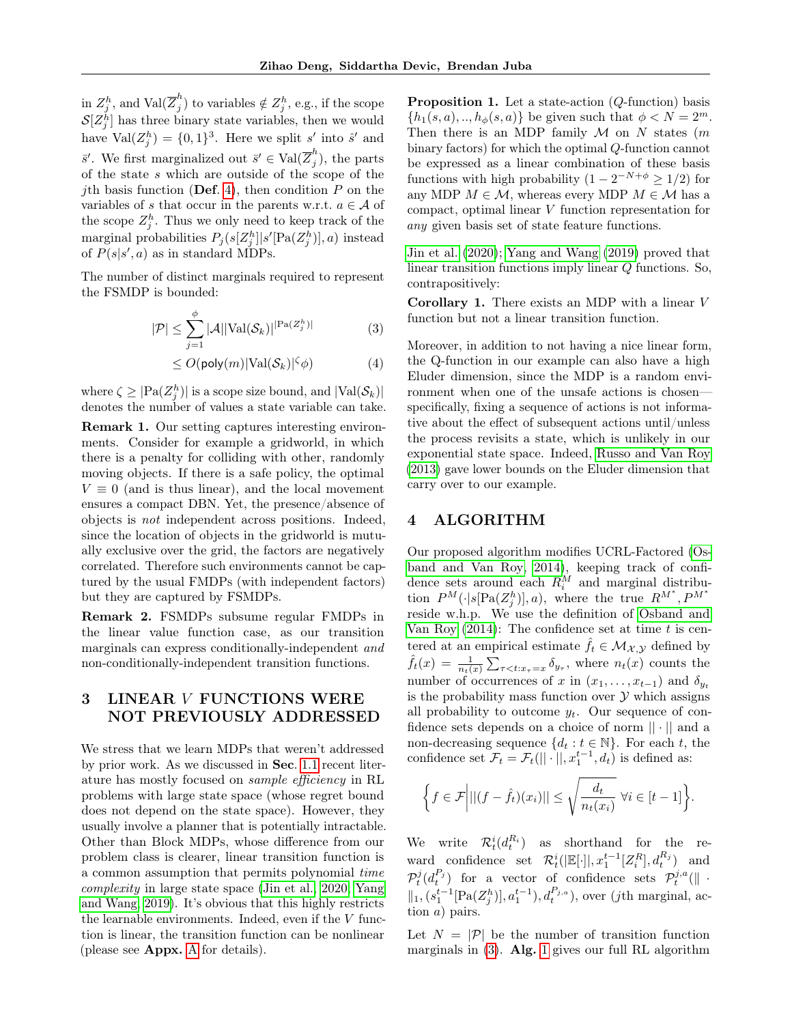in  $Z_j^h$ , and  $\text{Val}(\overline{Z}_j^h)$  $j^{(n)}_j$  to variables  $\notin Z_j^h$ , e.g., if the scope  $\mathcal{S}[Z_j^h]$  has three binary state variables, then we would have  $Val(Z_j^h) = \{0,1\}^3$ . Here we split s' into s' and  $\bar{s}'$ . We first marginalized out  $\bar{s}' \in \text{Val}(\overline{Z}_i^h)$  $j^{''})$ , the parts of the state s which are outside of the scope of the *j*th basis function (Def. [4\)](#page-2-0), then condition  $P$  on the variables of s that occur in the parents w.r.t.  $a \in \mathcal{A}$  of the scope  $Z_j^h$ . Thus we only need to keep track of the marginal probabilities  $P_j(s[Z_j^h]|s'[Pa(Z_j^h)],a)$  instead of  $P(s|s', a)$  as in standard MDPs.

The number of distinct marginals required to represent the FSMDP is bounded:

$$
|\mathcal{P}| \le \sum_{j=1}^{\phi} |\mathcal{A}| |\text{Val}(\mathcal{S}_k)|^{|\text{Pa}(Z_j^h)|} \tag{3}
$$

$$
\leq O(\text{poly}(m)|\text{Val}(\mathcal{S}_k)|^\zeta \phi) \tag{4}
$$

where  $\zeta \geq |\text{Pa}(Z_j^h)|$  is a scope size bound, and  $|\text{Val}(\mathcal{S}_k)|$ denotes the number of values a state variable can take.

Remark 1. Our setting captures interesting environments. Consider for example a gridworld, in which there is a penalty for colliding with other, randomly moving objects. If there is a safe policy, the optimal  $V \equiv 0$  (and is thus linear), and the local movement ensures a compact DBN. Yet, the presence/absence of objects is not independent across positions. Indeed, since the location of objects in the gridworld is mutually exclusive over the grid, the factors are negatively correlated. Therefore such environments cannot be captured by the usual FMDPs (with independent factors) but they are captured by FSMDPs.

Remark 2. FSMDPs subsume regular FMDPs in the linear value function case, as our transition marginals can express conditionally-independent and non-conditionally-independent transition functions.

# <span id="page-3-0"></span>3 LINEAR V FUNCTIONS WERE NOT PREVIOUSLY ADDRESSED

We stress that we learn MDPs that weren't addressed by prior work. As we discussed in Sec. [1.1](#page-1-0) recent literature has mostly focused on sample efficiency in RL problems with large state space (whose regret bound does not depend on the state space). However, they usually involve a planner that is potentially intractable. Other than Block MDPs, whose difference from our problem class is clearer, linear transition function is a common assumption that permits polynomial time complexity in large state space [\(Jin et al., 2020;](#page-9-16) [Yang](#page-10-5) [and Wang, 2019\)](#page-10-5). It's obvious that this highly restricts the learnable environments. Indeed, even if the  $V$  function is linear, the transition function can be nonlinear (please see Appx. [A](#page-11-0) for details).

<span id="page-3-2"></span>**Proposition 1.** Let a state-action  $(Q\text{-function})$  basis  ${h_1(s, a),..., h_\phi(s, a)}$  be given such that  $\phi < N = 2^m$ . Then there is an MDP family  $M$  on N states  $(m)$ binary factors) for which the optimal Q-function cannot be expressed as a linear combination of these basis functions with high probability  $(1 - 2^{-N+\phi} \ge 1/2)$  for any MDP  $M \in \mathcal{M}$ , whereas every MDP  $M \in \mathcal{M}$  has a compact, optimal linear V function representation for any given basis set of state feature functions.

[Jin et al.](#page-9-16) [\(2020\)](#page-9-16); [Yang and Wang](#page-10-5) [\(2019\)](#page-10-5) proved that linear transition functions imply linear Q functions. So, contrapositively:

<span id="page-3-1"></span>Corollary 1. There exists an MDP with a linear V function but not a linear transition function.

Moreover, in addition to not having a nice linear form, the Q-function in our example can also have a high Eluder dimension, since the MDP is a random environment when one of the unsafe actions is chosen specifically, fixing a sequence of actions is not informative about the effect of subsequent actions until/unless the process revisits a state, which is unlikely in our exponential state space. Indeed, [Russo and Van Roy](#page-9-17) [\(2013\)](#page-9-17) gave lower bounds on the Eluder dimension that carry over to our example.

# 4 ALGORITHM

Our proposed algorithm modifies UCRL-Factored [\(Os](#page-9-2)[band and Van Roy, 2014\)](#page-9-2), keeping track of confidence sets around each  $R_i^M$  and marginal distribution  $P^M(\cdot|s[\text{Pa}(Z_j^h)],a)$ , where the true  $R^{M^*},P^{M^*}$ reside w.h.p. We use the definition of [Osband and](#page-9-2) [Van Roy](#page-9-2)  $(2014)$ : The confidence set at time t is centered at an empirical estimate  $\hat{f}_t \in \mathcal{M}_{\mathcal{X}, \mathcal{Y}}$  defined by  $\hat{f}_t(x) = \frac{1}{n_t(x)} \sum_{\tau \leq t: x_{\tau} = x} \delta_{y_{\tau}},$  where  $n_t(x)$  counts the number of occurrences of x in  $(x_1, \ldots, x_{t-1})$  and  $\delta_{y_t}$ is the probability mass function over  $\mathcal Y$  which assigns all probability to outcome  $y_t$ . Our sequence of confidence sets depends on a choice of norm  $|| \cdot ||$  and a non-decreasing sequence  $\{d_t : t \in \mathbb{N}\}\$ . For each t, the confidence set  $\mathcal{F}_t = \mathcal{F}_t(||\cdot||, x_1^{t-1}, d_t)$  is defined as:

$$
\left\{f \in \mathcal{F} \bigg| ||(f - \hat{f}_t)(x_i)|| \leq \sqrt{\frac{d_t}{n_t(x_i)}} \,\,\forall i \in [t-1] \right\}.
$$

We write  $\mathcal{R}_t^i(d_t^{R_i})$  as shorthand for the reward confidence set  $\mathcal{R}_t^i(|\mathbb{E}[\cdot]|, x_1^{t-1}[Z_i^R], d_t^{R_j})$  and  $\mathcal{P}_t^j(d_t^{P_j})$  for a vector of confidence sets  $\mathcal{P}_t^{j,a}(\|\cdot\|)$  $||_1, (s_1^{t-1}[\text{Pa}(Z_j^h)], a_1^{t-1}), d_t^{P_{j,a}}),$  over (*j*th marginal, action a) pairs.

Let  $N = |\mathcal{P}|$  be the number of transition function marginals in  $(3)$ . Alg. [1](#page-4-0) gives our full RL algorithm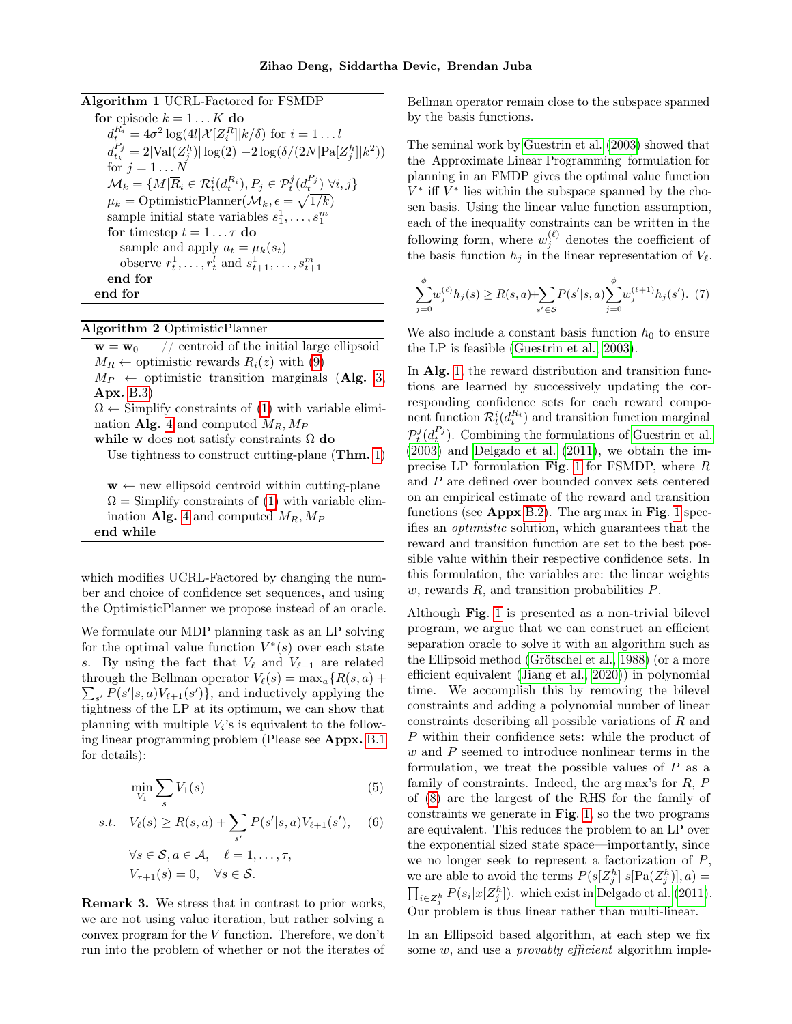# Algorithm 1 UCRL-Factored for FSMDP

<span id="page-4-0"></span>

| for episode $k = 1K$ do                                                                                                  |
|--------------------------------------------------------------------------------------------------------------------------|
| $d_i^{R_i} = 4\sigma^2 \log(4l \mathcal{X} Z_i^R  k/\delta)$ for $i = 1l$                                                |
| $d_{t_k}^{P_j} = 2 \text{Val}(Z_i^h)  \log(2) - 2 \log(\delta/(2N \text{Pa}[Z_i^h] k^2))$                                |
| for $j = 1N$                                                                                                             |
| $\mathcal{M}_k = \{M \overline{R}_i \in \mathcal{R}_t^i(d_i^{R_i}), P_i \in \mathcal{P}_t^j(d_i^{P_j}) \,\forall i, j\}$ |
| $\mu_k = \text{OptimisticPlanner}(\mathcal{M}_k, \epsilon = \sqrt{1/k})$                                                 |
| sample initial state variables $s_1^1, \ldots, s_1^m$                                                                    |
| for timestep $t = 1 \dots \tau$ do                                                                                       |
| sample and apply $a_t = \mu_k(s_t)$                                                                                      |
| observe $r_t^1, \ldots, r_t^l$ and $s_{t+1}^1, \ldots, s_{t+1}^m$                                                        |
| end for                                                                                                                  |
| end for                                                                                                                  |

## Algorithm 2 OptimisticPlanner

end while

<span id="page-4-1"></span> $\mathbf{w} = \mathbf{w}_0$  // centroid of the initial large ellipsoid  $M_R \leftarrow$  optimistic rewards  $\overline{R}_i(z)$  with [\(9\)](#page-5-0)  $M_P \leftarrow$  optimistic transition marginals (Alg. [3,](#page-15-0) Apx. [B.3\)](#page-13-0)  $\Omega \leftarrow$  Simplify constraints of [\(1\)](#page-5-1) with variable elimi-nation Alg. [4](#page-17-0) and computed  $M_R$ ,  $M_P$ while w does not satisfy constraints  $\Omega$  do Use tightness to construct cutting-plane (Thm. [1\)](#page-6-0)  $w \leftarrow$  new ellipsoid centroid within cutting-plane  $\Omega =$  Simplify constraints of [\(1\)](#page-5-1) with variable elim-ination Alg. [4](#page-17-0) and computed  $M_R, M_P$ 

which modifies UCRL-Factored by changing the number and choice of confidence set sequences, and using the OptimisticPlanner we propose instead of an oracle.

We formulate our MDP planning task as an LP solving for the optimal value function  $V^*(s)$  over each state s. By using the fact that  $V_{\ell}$  and  $V_{\ell+1}$  are related through the Bellman operator  $V_{\ell}(s) = \max_{a} \{R(s, a) +$  $\sum_{s'} P(s'|s, a) V_{\ell+1}(s')\},$  and inductively applying the tightness of the LP at its optimum, we can show that planning with multiple  $V_i$ 's is equivalent to the following linear programming problem (Please see Appx. [B.1](#page-12-0) for details):

$$
\min_{V_1} \sum_s V_1(s) \tag{5}
$$

s.t. 
$$
V_{\ell}(s) \geq R(s, a) + \sum_{s'} P(s'|s, a) V_{\ell+1}(s'),
$$
 (6)  
 $\forall s \in \mathcal{S}, a \in \mathcal{A}, \quad \ell = 1, ..., \tau,$   
 $V_{\tau+1}(s) = 0, \quad \forall s \in \mathcal{S}.$ 

Remark 3. We stress that in contrast to prior works, we are not using value iteration, but rather solving a convex program for the V function. Therefore, we don't run into the problem of whether or not the iterates of Bellman operator remain close to the subspace spanned by the basis functions.

The seminal work by [Guestrin et al.](#page-9-0) [\(2003\)](#page-9-0) showed that the Approximate Linear Programming formulation for planning in an FMDP gives the optimal value function  $V^*$  iff  $V^*$  lies within the subspace spanned by the chosen basis. Using the linear value function assumption, each of the inequality constraints can be written in the following form, where  $w_j^{(\ell)}$  denotes the coefficient of the basis function  $h_j$  in the linear representation of  $V_\ell$ .

<span id="page-4-2"></span>
$$
\sum_{j=0}^{\phi} w_j^{(\ell)} h_j(s) \ge R(s, a) + \sum_{s' \in S} P(s' | s, a) \sum_{j=0}^{\phi} w_j^{(\ell+1)} h_j(s'). \tag{7}
$$

We also include a constant basis function  $h_0$  to ensure the LP is feasible [\(Guestrin et al., 2003\)](#page-9-0).

In Alg. [1,](#page-4-0) the reward distribution and transition functions are learned by successively updating the corresponding confidence sets for each reward component function  $\mathcal{R}_t^i(d_t^{R_i})$  and transition function marginal  $\mathcal{P}_t^j(d_t^{P_j})$ . Combining the formulations of [Guestrin et al.](#page-9-0) [\(2003\)](#page-9-0) and [Delgado et al.](#page-8-2) [\(2011\)](#page-8-2), we obtain the imprecise LP formulation Fig. [1](#page-5-1) for FSMDP, where R and P are defined over bounded convex sets centered on an empirical estimate of the reward and transition functions (see Appx [B.2\)](#page-13-1). The arg max in Fig. [1](#page-5-1) specifies an optimistic solution, which guarantees that the reward and transition function are set to the best possible value within their respective confidence sets. In this formulation, the variables are: the linear weights  $w$ , rewards  $R$ , and transition probabilities  $P$ .

Although Fig. [1](#page-5-1) is presented as a non-trivial bilevel program, we argue that we can construct an efficient separation oracle to solve it with an algorithm such as the Ellipsoid method [\(Grötschel et al., 1988\)](#page-9-19) (or a more efficient equivalent [\(Jiang et al., 2020\)](#page-9-20)) in polynomial time. We accomplish this by removing the bilevel constraints and adding a polynomial number of linear constraints describing all possible variations of R and P within their confidence sets: while the product of  $w$  and  $P$  seemed to introduce nonlinear terms in the formulation, we treat the possible values of  $P$  as a family of constraints. Indeed, the arg max's for R, P of [\(8\)](#page-5-2) are the largest of the RHS for the family of constraints we generate in Fig. [1,](#page-5-1) so the two programs are equivalent. This reduces the problem to an LP over the exponential sized state space—importantly, since we no longer seek to represent a factorization of  $P$ , we are able to avoid the terms  $P(s[Z_j^h]|s[\text{Pa}(Z_j^h)],a) =$  $\prod_{i\in\mathbb{Z}_j^h} P(s_i|x[\mathbb{Z}_j^h])$ . which exist in [Delgado et al.](#page-8-2) [\(2011\)](#page-8-2). Our problem is thus linear rather than multi-linear.

In an Ellipsoid based algorithm, at each step we fix some  $w$ , and use a *provably efficient* algorithm imple-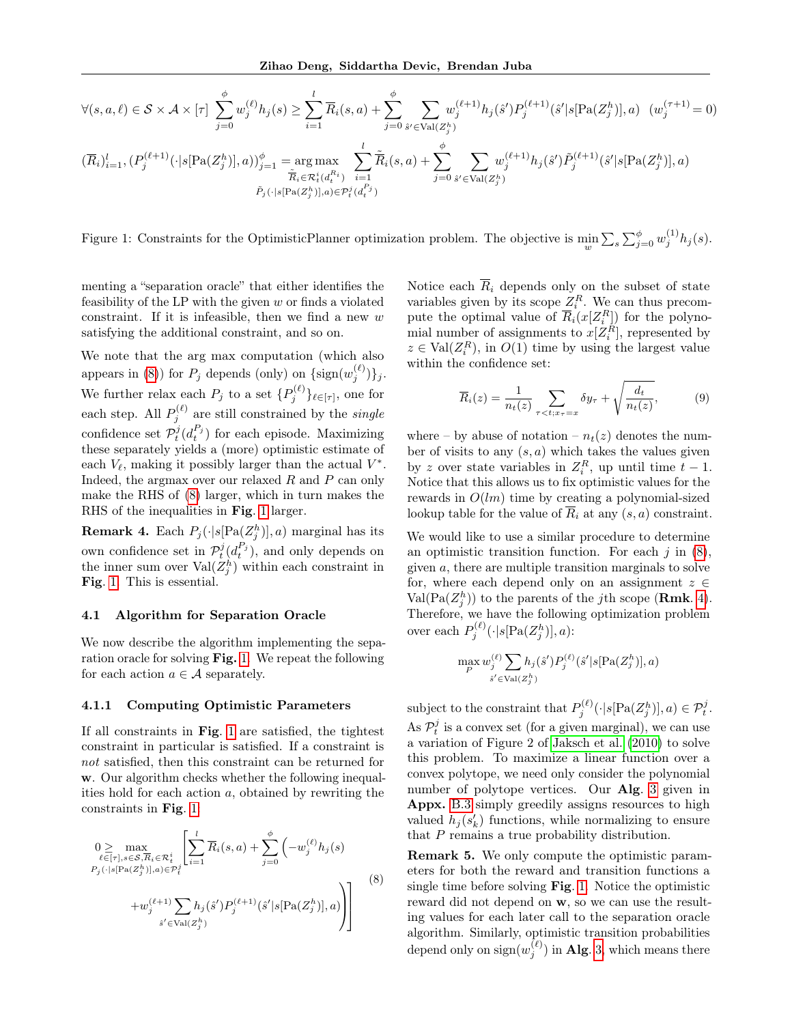$$
\forall (s, a, \ell) \in \mathcal{S} \times \mathcal{A} \times [\tau] \sum_{j=0}^{\phi} w_j^{(\ell)} h_j(s) \ge \sum_{i=1}^{l} \overline{R}_i(s, a) + \sum_{j=0}^{\phi} \sum_{\hat{s}' \in \text{Val}(Z_j^h)} w_j^{(\ell+1)} h_j(\hat{s}') P_j^{(\ell+1)}(\hat{s}' | s [\text{Pa}(Z_j^h)], a) \quad (w_j^{(\tau+1)} = 0)
$$
  

$$
(\overline{R}_i)_{i=1}^l, (P_j^{(\ell+1)}(\cdot | s [\text{Pa}(Z_j^h)], a))_{j=1}^{\phi} = \underset{\tilde{R}_i \in \mathcal{R}_i^i(d_i^{R_i})}{\tilde{R}_i(\tilde{s}, a)} \sum_{i=1}^{l} \tilde{\overline{R}}_i(s, a) + \sum_{j=0}^{\phi} \sum_{\hat{s}' \in \text{Val}(Z_j^h)} w_j^{(\ell+1)} h_j(\hat{s}') \tilde{P}_j^{(\ell+1)}(\hat{s}' | s [\text{Pa}(Z_j^h)], a)
$$
  

$$
\tilde{P}_j(\cdot | s [\text{Pa}(Z_j^h)], a) \in \mathcal{P}_i^i(d_i^{P_j})
$$

Figure 1: Constraints for the OptimisticPlanner optimization problem. The objective is  $\min_w \sum_s \sum_{j=0}^{\phi} w_j^{(1)} h_j(s)$ .

menting a "separation oracle" that either identifies the feasibility of the LP with the given  $w$  or finds a violated constraint. If it is infeasible, then we find a new  $w$ satisfying the additional constraint, and so on.

We note that the arg max computation (which also appears in [\(8\)](#page-5-2)) for  $P_j$  depends (only) on  $\{\text{sign}(w_j^{(\ell)})\}_j$ . We further relax each  $P_j$  to a set  ${P_j^{(\ell)}}_{\ell \in [\tau]}$ , one for each step. All  $P_j^{(\ell)}$  are still constrained by the *single* confidence set  $\mathcal{P}_t^j(d_t^{P_j})$  for each episode. Maximizing these separately yields a (more) optimistic estimate of each  $V_{\ell}$ , making it possibly larger than the actual  $V^*$ . Indeed, the argmax over our relaxed R and P can only make the RHS of [\(8\)](#page-5-2) larger, which in turn makes the RHS of the inequalities in Fig. [1](#page-5-1) larger.

<span id="page-5-3"></span>**Remark 4.** Each  $P_j(\cdot | s[\text{Pa}(Z_j^h)], a)$  marginal has its own confidence set in  $\mathcal{P}_t^j(d_t^{P_j})$ , and only depends on the inner sum over  $\text{Val}(Z_j^h)$  within each constraint in Fig. [1.](#page-5-1) This is essential.

# 4.1 Algorithm for Separation Oracle

We now describe the algorithm implementing the separation oracle for solving  $\text{Fig. 1.}$  $\text{Fig. 1.}$  $\text{Fig. 1.}$  We repeat the following for each action  $a \in \mathcal{A}$  separately.

### 4.1.1 Computing Optimistic Parameters

If all constraints in Fig. [1](#page-5-1) are satisfied, the tightest constraint in particular is satisfied. If a constraint is not satisfied, then this constraint can be returned for w. Our algorithm checks whether the following inequalities hold for each action  $a$ , obtained by rewriting the constraints in Fig. [1:](#page-5-1)

<span id="page-5-2"></span>
$$
0 \geq \max_{\ell \in [\tau], s \in S, \overline{R}_i \in \mathcal{R}_t^i} \left[ \sum_{i=1}^l \overline{R}_i(s, a) + \sum_{j=0}^{\phi} \left( -w_j^{(\ell)} h_j(s) \right. \newline P_j(\cdot | s [\text{Pa}(Z_j^h)], a) \in \mathcal{P}_t^i} \left( -w_j^{(\ell)} h_j(s) \right) \right] \newline + w_j^{(\ell+1)} \sum_{s' \in \text{Val}(Z_j^h)} h_j(s') P_j^{(\ell+1)}(\hat{s}' | s [\text{Pa}(Z_j^h)], a) \right]
$$
\n
$$
(8)
$$

<span id="page-5-1"></span>Notice each  $\overline{R}_i$  depends only on the subset of state variables given by its scope  $Z_i^R$ . We can thus precompute the optimal value of  $\overline{R}_i(x[Z_i^R])$  for the polynomial number of assignments to  $x[Z_i^R]$ , represented by  $z \in \text{Val}(Z_i^R)$ , in  $O(1)$  time by using the largest value within the confidence set:

<span id="page-5-0"></span>
$$
\overline{R}_i(z) = \frac{1}{n_t(z)} \sum_{\tau < t; x_\tau = x} \delta y_\tau + \sqrt{\frac{d_t}{n_t(z)}},\tag{9}
$$

where – by abuse of notation –  $n_t(z)$  denotes the number of visits to any  $(s, a)$  which takes the values given by z over state variables in  $Z_i^R$ , up until time  $t-1$ . Notice that this allows us to fix optimistic values for the rewards in  $O(lm)$  time by creating a polynomial-sized lookup table for the value of  $\overline{R}_i$  at any  $(s, a)$  constraint.

We would like to use a similar procedure to determine an optimistic transition function. For each  $j$  in  $(8)$ , given a, there are multiple transition marginals to solve for, where each depend only on an assignment  $z \in$  $Val(Pa(Z_j^h))$  to the parents of the jth scope (**Rmk**. [4\)](#page-5-3). Therefore, we have the following optimization problem over each  $P_j^{(\ell)}(\cdot | s[\text{Pa}(Z_j^h)], a)$ :

$$
\max_{P} w_j^{(\ell)} \sum_{\hat{s}' \in \text{Val}(Z_j^h)} h_j(\hat{s}') P_j^{(\ell)}(\hat{s}' | s[\text{Pa}(Z_j^h)], a)
$$

subject to the constraint that  $P_j^{(\ell)}(\cdot | s[\text{Pa}(Z_j^h)], a) \in \mathcal{P}_t^j$ . As  $\mathcal{P}_t^j$  is a convex set (for a given marginal), we can use a variation of Figure 2 of [Jaksch et al.](#page-9-8) [\(2010\)](#page-9-8) to solve this problem. To maximize a linear function over a convex polytope, we need only consider the polynomial number of polytope vertices. Our Alg. [3](#page-15-0) given in Appx. [B.3](#page-13-0) simply greedily assigns resources to high valued  $h_j(s'_k)$  functions, while normalizing to ensure that P remains a true probability distribution.

Remark 5. We only compute the optimistic parameters for both the reward and transition functions a single time before solving Fig. [1.](#page-5-1) Notice the optimistic reward did not depend on w, so we can use the resulting values for each later call to the separation oracle algorithm. Similarly, optimistic transition probabilities depend only on  $\operatorname{sign}(w_j^{(\ell)})$  in Alg. [3,](#page-15-0) which means there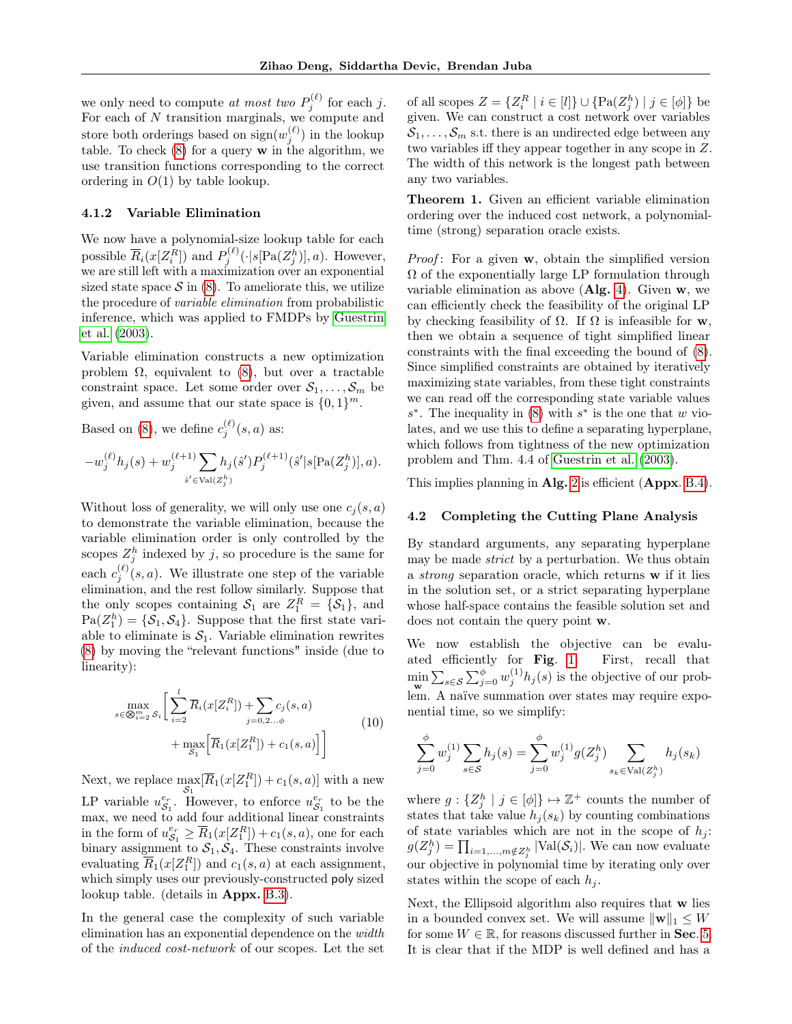we only need to compute at most two  $P_j^{(\ell)}$  for each j. For each of N transition marginals, we compute and store both orderings based on  $\text{sign}(w_j^{(\ell)})$  in the lookup table. To check  $(8)$  for a query w in the algorithm, we use transition functions corresponding to the correct ordering in  $O(1)$  by table lookup.

# 4.1.2 Variable Elimination

We now have a polynomial-size lookup table for each possible  $\overline{R}_i(x[Z_i^R])$  and  $P_j^{(\ell)}(\cdot | s[\text{Pa}(Z_j^h)], a)$ . However, we are still left with a maximization over an exponential sized state space  $\mathcal S$  in [\(8\)](#page-5-2). To ameliorate this, we utilize the procedure of variable elimination from probabilistic inference, which was applied to FMDPs by [Guestrin](#page-9-0) [et al.](#page-9-0) [\(2003\)](#page-9-0).

Variable elimination constructs a new optimization problem  $\Omega$ , equivalent to  $(8)$ , but over a tractable constraint space. Let some order over  $S_1, \ldots, S_m$  be given, and assume that our state space is  $\{0,1\}^m$ .

Based on [\(8\)](#page-5-2), we define  $c_j^{(\ell)}(s, a)$  as:

$$
-w_j^{(\ell)}h_j(s) + w_j^{(\ell+1)}\sum_{s' \in \text{Val}(Z_j^h)} h_j(\hat{s}')P_j^{(\ell+1)}(\hat{s}'|s[\text{Pa}(Z_j^h)],a).
$$

Without loss of generality, we will only use one  $c_i(s, a)$ to demonstrate the variable elimination, because the variable elimination order is only controlled by the scopes  $Z_j^h$  indexed by j, so procedure is the same for each  $c_j^{(\ell)}(s, a)$ . We illustrate one step of the variable elimination, and the rest follow similarly. Suppose that the only scopes containing  $S_1$  are  $Z_1^R = \{S_1\}$ , and  $Pa(Z_1^h) = \{S_1, S_4\}$ . Suppose that the first state variable to eliminate is  $S_1$ . Variable elimination rewrites [\(8\)](#page-5-2) by moving the "relevant functions" inside (due to linearity):

$$
\max_{s \in \bigotimes_{i=2}^m S_i} \left[ \sum_{i=2}^l \overline{R}_i (x[Z_i^R]) + \sum_{j=0,2...,\phi} c_j(s, a) + \max_{S_1} \left[ \overline{R}_1 (x[Z_1^R]) + c_1(s, a) \right] \right]
$$
(10)

Next, we replace  $\max_{\mathcal{S}_1} [\overline{R}_1(x[Z_1^R]) + c_1(s, a)]$  with a new LP variable  $u_{\mathcal{S}_1}^{e_r}$ . However, to enforce  $u_{\mathcal{S}_1}^{e_r}$  to be the max, we need to add four additional linear constraints in the form of  $u_{\mathcal{S}_1}^{e_r} \geq \overline{R}_1(x[Z_1^R]) + c_1(s, a)$ , one for each binary assignment to  $S_1, S_4$ . These constraints involve evaluating  $\overline{R}_1(x[Z_1^R])$  and  $c_1(s, a)$  at each assignment, which simply uses our previously-constructed poly sized lookup table. (details in Appx. [B.3\)](#page-13-0).

In the general case the complexity of such variable elimination has an exponential dependence on the width of the induced cost-network of our scopes. Let the set

of all scopes  $Z = \{Z_i^R \mid i \in [l]\} \cup \{ \text{Pa}(Z_j^h) \mid j \in [\phi] \}$  be given. We can construct a cost network over variables  $S_1, \ldots, S_m$  s.t. there is an undirected edge between any two variables iff they appear together in any scope in Z. The width of this network is the longest path between any two variables.

<span id="page-6-0"></span>Theorem 1. Given an efficient variable elimination ordering over the induced cost network, a polynomialtime (strong) separation oracle exists.

*Proof*: For a given  $w$ , obtain the simplified version  $\Omega$  of the exponentially large LP formulation through variable elimination as above  $(Alg. 4)$  $(Alg. 4)$ . Given w, we can efficiently check the feasibility of the original LP by checking feasibility of  $\Omega$ . If  $\Omega$  is infeasible for w, then we obtain a sequence of tight simplified linear constraints with the final exceeding the bound of [\(8\)](#page-5-2). Since simplified constraints are obtained by iteratively maximizing state variables, from these tight constraints we can read off the corresponding state variable values  $s^*$ . The inequality in [\(8\)](#page-5-2) with  $s^*$  is the one that w violates, and we use this to define a separating hyperplane, which follows from tightness of the new optimization problem and Thm. 4.4 of [Guestrin et al.](#page-9-0) [\(2003\)](#page-9-0).

This implies planning in Alg. [2](#page-4-1) is efficient (Appx. [B.4\)](#page-16-0).

## 4.2 Completing the Cutting Plane Analysis

By standard arguments, any separating hyperplane may be made strict by a perturbation. We thus obtain a strong separation oracle, which returns w if it lies in the solution set, or a strict separating hyperplane whose half-space contains the feasible solution set and does not contain the query point w.

We now establish the objective can be evaluated efficiently for Fig. [1.](#page-5-1) First, recall that  $\min_{\mathbf{w}} \sum_{s \in \mathcal{S}} \sum_{j=0}^{\phi} w_j^{(1)} h_j(s)$  is the objective of our problem. A naïve summation over states may require exponential time, so we simplify:

$$
\sum_{j=0}^{\phi} w_j^{(1)} \sum_{s \in \mathcal{S}} h_j(s) = \sum_{j=0}^{\phi} w_j^{(1)} g(Z_j^h) \sum_{s_k \in \text{Val}(Z_j^h)} h_j(s_k)
$$

where  $g: \{Z_j^h \mid j \in [\phi]\} \mapsto \mathbb{Z}^+$  counts the number of states that take value  $h_j(s_k)$  by counting combinations of state variables which are not in the scope of  $h_j$ :  $g(Z_j^h) = \prod_{i=1,\dots,m \notin Z_j^h} |\text{Val}(\mathcal{S}_i)|$ . We can now evaluate our objective in polynomial time by iterating only over states within the scope of each  $h_i$ .

Next, the Ellipsoid algorithm also requires that w lies in a bounded convex set. We will assume  $\|\mathbf{w}\|_1 \leq W$ for some  $W \in \mathbb{R}$ , for reasons discussed further in **Sec.** [5.](#page-7-0) It is clear that if the MDP is well defined and has a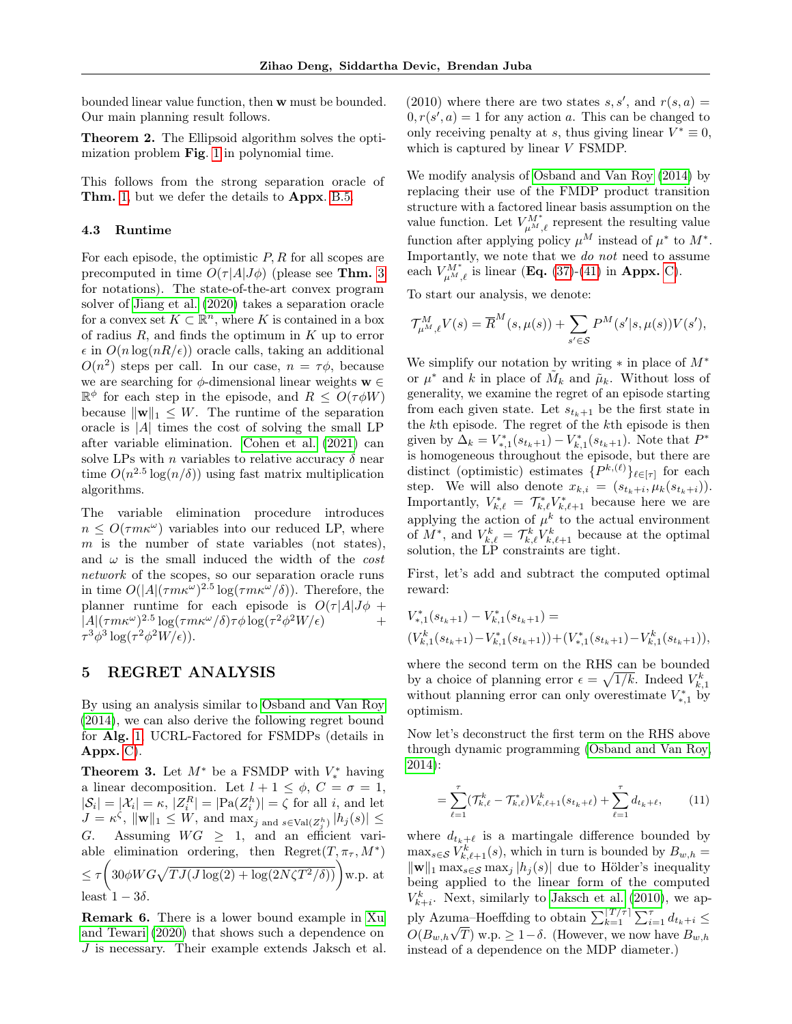bounded linear value function, then w must be bounded. Our main planning result follows.

<span id="page-7-3"></span>Theorem 2. The Ellipsoid algorithm solves the optimization problem Fig. [1](#page-5-1) in polynomial time.

This follows from the strong separation oracle of Thm. [1,](#page-6-0) but we defer the details to Appx. [B.5.](#page-18-0)

#### 4.3 Runtime

For each episode, the optimistic  $P, R$  for all scopes are precomputed in time  $O(\tau |A|J\phi)$  (please see Thm. [3](#page-7-1) for notations). The state-of-the-art convex program solver of [Jiang et al.](#page-9-20) [\(2020\)](#page-9-20) takes a separation oracle for a convex set  $K \subset \mathbb{R}^n$ , where K is contained in a box of radius  $R$ , and finds the optimum in  $K$  up to error  $\epsilon$  in  $O(n \log(nR/\epsilon))$  oracle calls, taking an additional  $O(n^2)$  steps per call. In our case,  $n = \tau \phi$ , because we are searching for  $\phi$ -dimensional linear weights  $\mathbf{w} \in$  $\mathbb{R}^{\phi}$  for each step in the episode, and  $R \leq O(\tau \phi W)$ because  $\|\mathbf{w}\|_1 \leq W$ . The runtime of the separation oracle is  $|A|$  times the cost of solving the small LP after variable elimination. [Cohen et al.](#page-8-7) [\(2021\)](#page-8-7) can solve LPs with n variables to relative accuracy  $\delta$  near time  $O(n^{2.5} \log(n/\delta))$  using fast matrix multiplication algorithms.

The variable elimination procedure introduces  $n \leq O(\tau m \kappa^{\omega})$  variables into our reduced LP, where  $m$  is the number of state variables (not states), and  $\omega$  is the small induced the width of the cost network of the scopes, so our separation oracle runs in time  $O(|A|(\tau m\kappa^{\omega})^{2.5} \log(\tau m\kappa^{\omega}/\delta)).$  Therefore, the planner runtime for each episode is  $O(\tau |A|J\phi +$  $|A|(\tau m\kappa^{\omega})^{2.5} \log(\tau m\kappa^{\omega}/\delta)\tau\phi \log(\tau^2\phi^2 W/\epsilon)$  +  $\tau^3 \phi^3 \log(\tau^2 \phi^2 W/\epsilon)).$ 

# <span id="page-7-0"></span>5 REGRET ANALYSIS

By using an analysis similar to [Osband and Van Roy](#page-9-2) [\(2014\)](#page-9-2), we can also derive the following regret bound for Alg. [1,](#page-4-0) UCRL-Factored for FSMDPs (details in Appx. [C\)](#page-18-1).

<span id="page-7-1"></span>**Theorem 3.** Let  $M^*$  be a FSMDP with  $V_*^*$  having a linear decomposition. Let  $l + 1 \leq \phi$ ,  $C = \sigma = 1$ ,  $|\mathcal{S}_i| = |\mathcal{X}_i| = \kappa, |Z_i^R| = |\text{Pa}(Z_i^h)| = \zeta$  for all *i*, and let  $J = \kappa^{\zeta}, \, \|\mathbf{w}\|_{1} \leq W$ , and  $\max_{j \text{ and } s \in \text{Val}(Z_{j}^{h})} |h_{j}(s)| \leq$ G. Assuming  $WG \geq 1$ , and an efficient variable elimination ordering, then  $Regret(T, \pi<sub>\tau</sub>, M<sup>*</sup>)$  $\leq \tau \left(30 \phi W G \sqrt{T J(J \log(2) + \log(2N\zeta T^2/\delta))}\right)$  w.p. at least  $1 - 3\delta$ .

Remark 6. There is a lower bound example in [Xu](#page-10-0) [and Tewari](#page-10-0) [\(2020\)](#page-10-0) that shows such a dependence on J is necessary. Their example extends Jaksch et al. (2010) where there are two states  $s, s'$ , and  $r(s, a) =$  $0, r(s', a) = 1$  for any action a. This can be changed to only receiving penalty at s, thus giving linear  $V^* \equiv 0$ , which is captured by linear V FSMDP.

We modify analysis of [Osband and Van Roy](#page-9-2) [\(2014\)](#page-9-2) by replacing their use of the FMDP product transition structure with a factored linear basis assumption on the value function. Let  $V_{\mu^M,\ell}^{M^*}$  represent the resulting value function after applying policy  $\mu^M$  instead of  $\mu^*$  to  $M^*$ . Importantly, we note that we do not need to assume each  $V_{\mu M,\ell}^{M^*}$  is linear (**Eq.** [\(37\)](#page-19-0)-[\(41\)](#page-20-0) in **Appx.** [C\)](#page-18-1).

To start our analysis, we denote:

$$
\mathcal{T}_{\mu^M, \ell}^M V(s) = \overline{R}^M(s, \mu(s)) + \sum_{s' \in \mathcal{S}} P^M(s'|s, \mu(s)) V(s'),
$$

We simplify our notation by writing  $*$  in place of  $M^*$ or  $\mu^*$  and k in place of  $\tilde{M}_k$  and  $\tilde{\mu}_k$ . Without loss of generality, we examine the regret of an episode starting from each given state. Let  $s_{t_k+1}$  be the first state in the kth episode. The regret of the kth episode is then given by  $\Delta_k = V_{*,1}^*(s_{t_k+1}) - V_{k,1}^*(s_{t_k+1})$ . Note that  $P^*$ is homogeneous throughout the episode, but there are distinct (optimistic) estimates  $\{P^{k,(\ell)}\}_{\ell \in [\tau]}$  for each step. We will also denote  $x_{k,i} = (s_{t_k+i}, \mu_k(s_{t_k+i})).$ Importantly,  $V_{k,\ell}^* = \mathcal{T}_{k,\ell}^* V_{k,\ell+1}^*$  because here we are applying the action of  $\mu^k$  to the actual environment of  $M^*$ , and  $V_{k,\ell}^k = \mathcal{T}_{k,\ell}^k V_{k,\ell+1}^k$  because at the optimal solution, the LP constraints are tight.

First, let's add and subtract the computed optimal reward:

$$
\begin{aligned} &V_{*,1}^*(s_{t_k+1})-V_{k,1}^*(s_{t_k+1})= \\ & (V_{k,1}^k(s_{t_k+1})-V_{k,1}^*(s_{t_k+1}))+ (V_{*,1}^*(s_{t_k+1})-V_{k,1}^k(s_{t_k+1})), \end{aligned}
$$

where the second term on the RHS can be bounded by a choice of planning error  $\epsilon = \sqrt{1/k}$ . Indeed  $V_{k,1}^k$ without planning error can only overestimate  $V_{*,1}^*$  by optimism.

Now let's deconstruct the first term on the RHS above through dynamic programming [\(Osband and Van Roy,](#page-9-2) [2014\)](#page-9-2):

<span id="page-7-2"></span>
$$
= \sum_{\ell=1}^{\tau} (\mathcal{T}_{k,\ell}^k - \mathcal{T}_{k,\ell}^*) V_{k,\ell+1}^k (s_{t_k+\ell}) + \sum_{\ell=1}^{\tau} d_{t_k+\ell}, \qquad (11)
$$

where  $d_{t_k+\ell}$  is a martingale difference bounded by  $\max_{s \in \mathcal{S}} V^k_{k,\ell+1}(s)$ , which in turn is bounded by  $B_{w,h} =$  $\|\mathbf{w}\|_1 \max_{s \in \mathcal{S}} \max_j |h_i(s)|$  due to Hölder's inequality being applied to the linear form of the computed  $V_{k+i}^k$ . Next, similarly to [Jaksch et al.](#page-9-8) [\(2010\)](#page-9-8), we apply Azuma–Hoeffding to obtain  $\sum_{k=1}^{T/\tau} \sum_{i=1}^{\tau} d_{t_k+i} \leq$  $O(B_{w,h}\sqrt{T})$  w.p.  $\geq 1-\delta$ . (However, we now have  $B_{w,h}$ instead of a dependence on the MDP diameter.)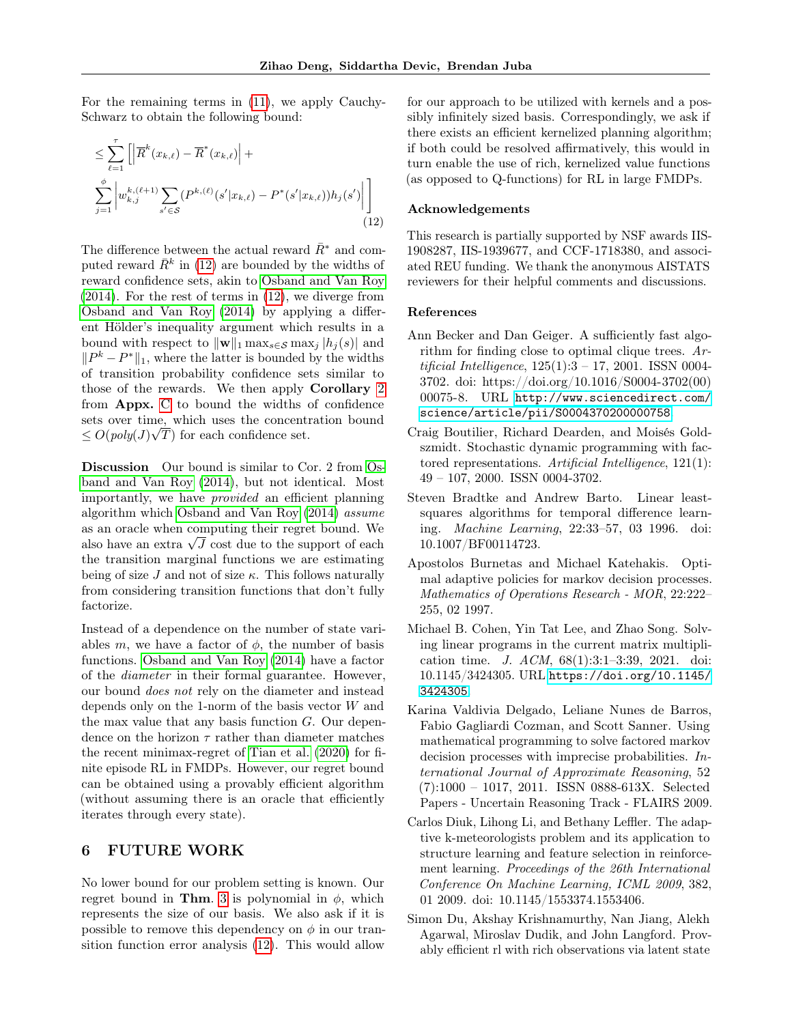For the remaining terms in [\(11\)](#page-7-2), we apply Cauchy-Schwarz to obtain the following bound:

<span id="page-8-8"></span>
$$
\leq \sum_{\ell=1}^{\tau} \left[ \left| \overline{R}^{k}(x_{k,\ell}) - \overline{R}^{*}(x_{k,\ell}) \right| + \right.
$$
  

$$
\sum_{j=1}^{\phi} \left| w_{k,j}^{k,(\ell+1)} \sum_{s' \in S} (P^{k,(\ell)}(s'|x_{k,\ell}) - P^{*}(s'|x_{k,\ell})) h_{j}(s') \right| \right]
$$
  
(12)

The difference between the actual reward  $\bar{R}^*$  and computed reward  $\bar{R}^k$  in [\(12\)](#page-8-8) are bounded by the widths of reward confidence sets, akin to [Osband and Van Roy](#page-9-2) [\(2014\)](#page-9-2). For the rest of terms in [\(12\)](#page-8-8), we diverge from [Osband and Van Roy](#page-9-2) [\(2014\)](#page-9-2) by applying a different Hölder's inequality argument which results in a bound with respect to  $\|\mathbf{w}\|_1 \max_{s \in \mathcal{S}} \max_i |h_i(s)|$  and  $||P^k - P^*||_1$ , where the latter is bounded by the widths of transition probability confidence sets similar to those of the rewards. We then apply Corollary [2](#page-22-0) from Appx. [C](#page-18-1) to bound the widths of confidence sets over time, which uses the concentration bound  $\leq O(\text{poly}(J)\sqrt{T})$  for each confidence set.

Discussion Our bound is similar to Cor. 2 from [Os](#page-9-2)[band and Van Roy](#page-9-2) [\(2014\)](#page-9-2), but not identical. Most importantly, we have provided an efficient planning algorithm which [Osband and Van Roy](#page-9-2) [\(2014\)](#page-9-2) assume as an oracle when computing their regret bound. We as an oracle when computing their regret bound. We<br>also have an extra  $\sqrt{J}$  cost due to the support of each the transition marginal functions we are estimating being of size J and not of size  $\kappa$ . This follows naturally from considering transition functions that don't fully factorize.

Instead of a dependence on the number of state variables m, we have a factor of  $\phi$ , the number of basis functions. [Osband and Van Roy](#page-9-2) [\(2014\)](#page-9-2) have a factor of the diameter in their formal guarantee. However, our bound does not rely on the diameter and instead depends only on the 1-norm of the basis vector W and the max value that any basis function  $G$ . Our dependence on the horizon  $\tau$  rather than diameter matches the recent minimax-regret of [Tian et al.](#page-10-1) [\(2020\)](#page-10-1) for finite episode RL in FMDPs. However, our regret bound can be obtained using a provably efficient algorithm (without assuming there is an oracle that efficiently iterates through every state).

# 6 FUTURE WORK

No lower bound for our problem setting is known. Our regret bound in Thm. [3](#page-7-1) is polynomial in  $\phi$ , which represents the size of our basis. We also ask if it is possible to remove this dependency on  $\phi$  in our transition function error analysis [\(12\)](#page-8-8). This would allow

for our approach to be utilized with kernels and a possibly infinitely sized basis. Correspondingly, we ask if there exists an efficient kernelized planning algorithm; if both could be resolved affirmatively, this would in turn enable the use of rich, kernelized value functions (as opposed to Q-functions) for RL in large FMDPs.

### Acknowledgements

This research is partially supported by NSF awards IIS-1908287, IIS-1939677, and CCF-1718380, and associated REU funding. We thank the anonymous AISTATS reviewers for their helpful comments and discussions.

### References

- <span id="page-8-1"></span>Ann Becker and Dan Geiger. A sufficiently fast algorithm for finding close to optimal clique trees. Artificial Intelligence,  $125(1):3 - 17$ ,  $2001$ . ISSN 0004-3702. doi: https://doi.org/10.1016/S0004-3702(00) 00075-8. URL [http://www.sciencedirect.com/](http://www.sciencedirect.com/science/article/pii/S0004370200000758) [science/article/pii/S0004370200000758](http://www.sciencedirect.com/science/article/pii/S0004370200000758).
- <span id="page-8-0"></span>Craig Boutilier, Richard Dearden, and Moisés Goldszmidt. Stochastic dynamic programming with factored representations. Artificial Intelligence, 121(1): 49 – 107, 2000. ISSN 0004-3702.
- <span id="page-8-3"></span>Steven Bradtke and Andrew Barto. Linear leastsquares algorithms for temporal difference learning. Machine Learning, 22:33–57, 03 1996. doi: 10.1007/BF00114723.
- <span id="page-8-6"></span>Apostolos Burnetas and Michael Katehakis. Optimal adaptive policies for markov decision processes. Mathematics of Operations Research - MOR, 22:222– 255, 02 1997.
- <span id="page-8-7"></span>Michael B. Cohen, Yin Tat Lee, and Zhao Song. Solving linear programs in the current matrix multiplication time. J. ACM, 68(1):3:1–3:39, 2021. doi: 10.1145/3424305. URL [https://doi.org/10.1145/](https://doi.org/10.1145/3424305) [3424305](https://doi.org/10.1145/3424305).
- <span id="page-8-2"></span>Karina Valdivia Delgado, Leliane Nunes de Barros, Fabio Gagliardi Cozman, and Scott Sanner. Using mathematical programming to solve factored markov decision processes with imprecise probabilities. International Journal of Approximate Reasoning, 52 (7):1000 – 1017, 2011. ISSN 0888-613X. Selected Papers - Uncertain Reasoning Track - FLAIRS 2009.
- <span id="page-8-4"></span>Carlos Diuk, Lihong Li, and Bethany Leffler. The adaptive k-meteorologists problem and its application to structure learning and feature selection in reinforcement learning. Proceedings of the 26th International Conference On Machine Learning, ICML 2009, 382, 01 2009. doi: 10.1145/1553374.1553406.
- <span id="page-8-5"></span>Simon Du, Akshay Krishnamurthy, Nan Jiang, Alekh Agarwal, Miroslav Dudik, and John Langford. Provably efficient rl with rich observations via latent state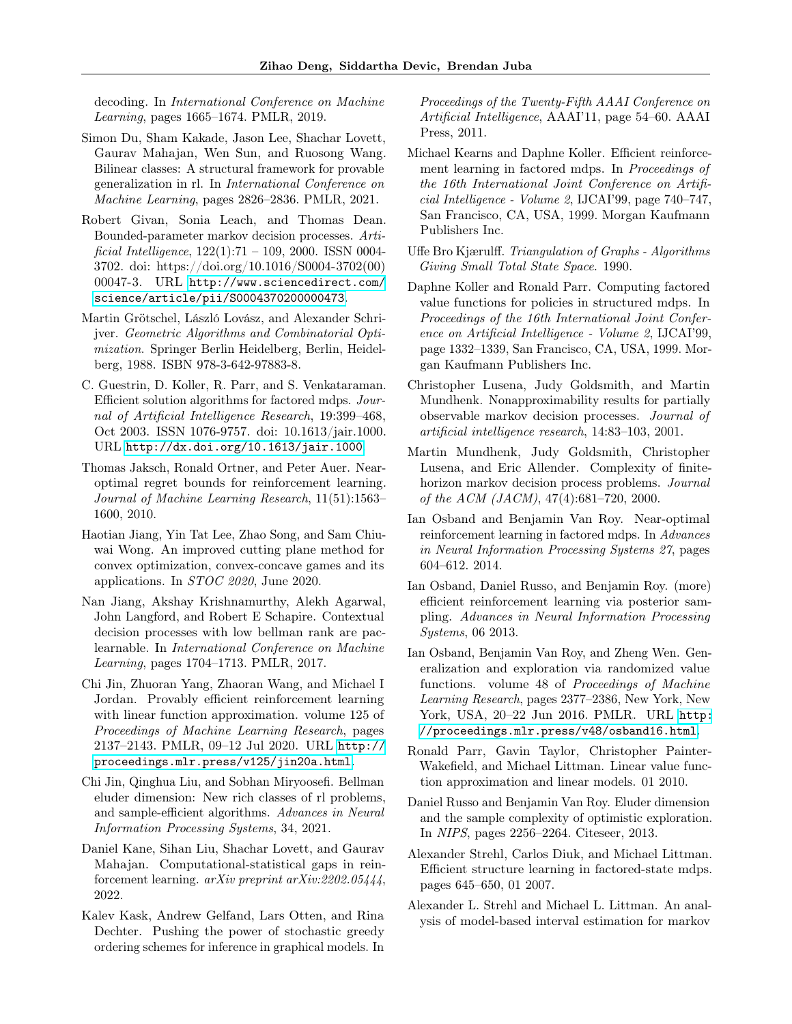decoding. In International Conference on Machine Learning, pages 1665–1674. PMLR, 2019.

- <span id="page-9-15"></span>Simon Du, Sham Kakade, Jason Lee, Shachar Lovett, Gaurav Mahajan, Wen Sun, and Ruosong Wang. Bilinear classes: A structural framework for provable generalization in rl. In International Conference on Machine Learning, pages 2826–2836. PMLR, 2021.
- <span id="page-9-11"></span>Robert Givan, Sonia Leach, and Thomas Dean. Bounded-parameter markov decision processes. Artificial Intelligence,  $122(1):71 - 109$ ,  $2000$ . ISSN 0004-3702. doi: https://doi.org/10.1016/S0004-3702(00) 00047-3. URL [http://www.sciencedirect.com/](http://www.sciencedirect.com/science/article/pii/S0004370200000473) [science/article/pii/S0004370200000473](http://www.sciencedirect.com/science/article/pii/S0004370200000473).
- <span id="page-9-19"></span>Martin Grötschel, László Lovász, and Alexander Schrijver. Geometric Algorithms and Combinatorial Optimization. Springer Berlin Heidelberg, Berlin, Heidelberg, 1988. ISBN 978-3-642-97883-8.
- <span id="page-9-0"></span>C. Guestrin, D. Koller, R. Parr, and S. Venkataraman. Efficient solution algorithms for factored mdps. Journal of Artificial Intelligence Research, 19:399–468, Oct 2003. ISSN 1076-9757. doi: 10.1613/jair.1000. URL <http://dx.doi.org/10.1613/jair.1000>.
- <span id="page-9-8"></span>Thomas Jaksch, Ronald Ortner, and Peter Auer. Nearoptimal regret bounds for reinforcement learning. Journal of Machine Learning Research, 11(51):1563– 1600, 2010.
- <span id="page-9-20"></span>Haotian Jiang, Yin Tat Lee, Zhao Song, and Sam Chiuwai Wong. An improved cutting plane method for convex optimization, convex-concave games and its applications. In STOC 2020, June 2020.
- <span id="page-9-13"></span>Nan Jiang, Akshay Krishnamurthy, Alekh Agarwal, John Langford, and Robert E Schapire. Contextual decision processes with low bellman rank are paclearnable. In International Conference on Machine Learning, pages 1704–1713. PMLR, 2017.
- <span id="page-9-16"></span>Chi Jin, Zhuoran Yang, Zhaoran Wang, and Michael I Jordan. Provably efficient reinforcement learning with linear function approximation. volume 125 of Proceedings of Machine Learning Research, pages 2137–2143. PMLR, 09–12 Jul 2020. URL [http://](http://proceedings.mlr.press/v125/jin20a.html) [proceedings.mlr.press/v125/jin20a.html](http://proceedings.mlr.press/v125/jin20a.html).
- <span id="page-9-14"></span>Chi Jin, Qinghua Liu, and Sobhan Miryoosefi. Bellman eluder dimension: New rich classes of rl problems, and sample-efficient algorithms. Advances in Neural Information Processing Systems, 34, 2021.
- <span id="page-9-5"></span>Daniel Kane, Sihan Liu, Shachar Lovett, and Gaurav Mahajan. Computational-statistical gaps in reinforcement learning. arXiv preprint arXiv:2202.05444, 2022.
- <span id="page-9-7"></span>Kalev Kask, Andrew Gelfand, Lars Otten, and Rina Dechter. Pushing the power of stochastic greedy ordering schemes for inference in graphical models. In

Proceedings of the Twenty-Fifth AAAI Conference on Artificial Intelligence, AAAI'11, page 54–60. AAAI Press, 2011.

- <span id="page-9-1"></span>Michael Kearns and Daphne Koller. Efficient reinforcement learning in factored mdps. In Proceedings of the 16th International Joint Conference on Artificial Intelligence - Volume 2, IJCAI'99, page 740–747, San Francisco, CA, USA, 1999. Morgan Kaufmann Publishers Inc.
- <span id="page-9-6"></span>Uffe Bro Kjærulff. Triangulation of Graphs - Algorithms Giving Small Total State Space. 1990.
- <span id="page-9-18"></span>Daphne Koller and Ronald Parr. Computing factored value functions for policies in structured mdps. In Proceedings of the 16th International Joint Conference on Artificial Intelligence - Volume 2, IJCAI'99, page 1332–1339, San Francisco, CA, USA, 1999. Morgan Kaufmann Publishers Inc.
- <span id="page-9-4"></span>Christopher Lusena, Judy Goldsmith, and Martin Mundhenk. Nonapproximability results for partially observable markov decision processes. Journal of artificial intelligence research, 14:83–103, 2001.
- <span id="page-9-3"></span>Martin Mundhenk, Judy Goldsmith, Christopher Lusena, and Eric Allender. Complexity of finitehorizon markov decision process problems. Journal of the ACM (JACM), 47(4):681–720, 2000.
- <span id="page-9-2"></span>Ian Osband and Benjamin Van Roy. Near-optimal reinforcement learning in factored mdps. In Advances in Neural Information Processing Systems 27, pages 604–612. 2014.
- <span id="page-9-22"></span>Ian Osband, Daniel Russo, and Benjamin Roy. (more) efficient reinforcement learning via posterior sampling. Advances in Neural Information Processing Systems, 06 2013.
- <span id="page-9-10"></span>Ian Osband, Benjamin Van Roy, and Zheng Wen. Generalization and exploration via randomized value functions. volume 48 of Proceedings of Machine Learning Research, pages 2377–2386, New York, New York, USA, 20–22 Jun 2016. PMLR. URL [http:](http://proceedings.mlr.press/v48/osband16.html) [//proceedings.mlr.press/v48/osband16.html](http://proceedings.mlr.press/v48/osband16.html).
- <span id="page-9-9"></span>Ronald Parr, Gavin Taylor, Christopher Painter-Wakefield, and Michael Littman. Linear value function approximation and linear models. 01 2010.
- <span id="page-9-17"></span>Daniel Russo and Benjamin Van Roy. Eluder dimension and the sample complexity of optimistic exploration. In NIPS, pages 2256–2264. Citeseer, 2013.
- <span id="page-9-12"></span>Alexander Strehl, Carlos Diuk, and Michael Littman. Efficient structure learning in factored-state mdps. pages 645–650, 01 2007.
- <span id="page-9-21"></span>Alexander L. Strehl and Michael L. Littman. An analysis of model-based interval estimation for markov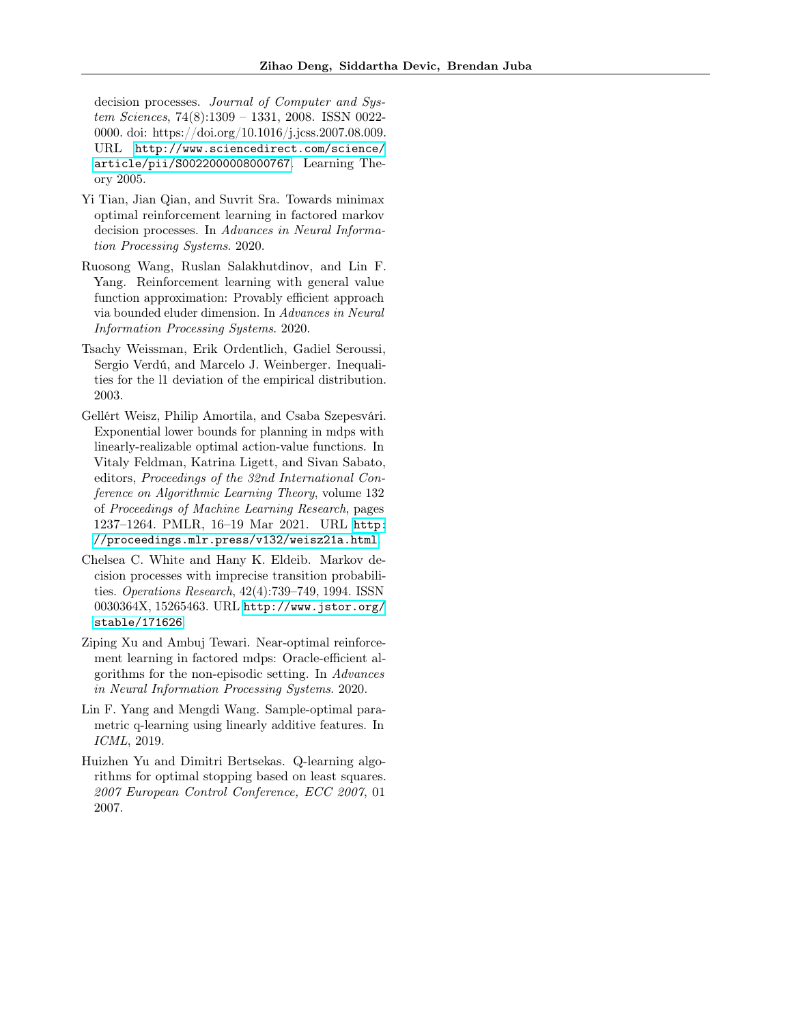decision processes. Journal of Computer and System Sciences, 74(8):1309 – 1331, 2008. ISSN 0022- 0000. doi: https://doi.org/10.1016/j.jcss.2007.08.009. URL [http://www.sciencedirect.com/science/](http://www.sciencedirect.com/science/article/pii/S0022000008000767) [article/pii/S0022000008000767](http://www.sciencedirect.com/science/article/pii/S0022000008000767). Learning Theory 2005.

- <span id="page-10-1"></span>Yi Tian, Jian Qian, and Suvrit Sra. Towards minimax optimal reinforcement learning in factored markov decision processes. In Advances in Neural Information Processing Systems. 2020.
- <span id="page-10-6"></span>Ruosong Wang, Ruslan Salakhutdinov, and Lin F. Yang. Reinforcement learning with general value function approximation: Provably efficient approach via bounded eluder dimension. In Advances in Neural Information Processing Systems. 2020.
- <span id="page-10-7"></span>Tsachy Weissman, Erik Ordentlich, Gadiel Seroussi, Sergio Verdú, and Marcelo J. Weinberger. Inequalities for the l1 deviation of the empirical distribution. 2003.
- <span id="page-10-3"></span>Gellért Weisz, Philip Amortila, and Csaba Szepesvári. Exponential lower bounds for planning in mdps with linearly-realizable optimal action-value functions. In Vitaly Feldman, Katrina Ligett, and Sivan Sabato, editors, Proceedings of the 32nd International Conference on Algorithmic Learning Theory, volume 132 of Proceedings of Machine Learning Research, pages 1237–1264. PMLR, 16–19 Mar 2021. URL [http:](http://proceedings.mlr.press/v132/weisz21a.html) [//proceedings.mlr.press/v132/weisz21a.html](http://proceedings.mlr.press/v132/weisz21a.html).
- <span id="page-10-4"></span>Chelsea C. White and Hany K. Eldeib. Markov decision processes with imprecise transition probabilities. Operations Research, 42(4):739–749, 1994. ISSN 0030364X, 15265463. URL [http://www.jstor.org/](http://www.jstor.org/stable/171626) [stable/171626](http://www.jstor.org/stable/171626).
- <span id="page-10-0"></span>Ziping Xu and Ambuj Tewari. Near-optimal reinforcement learning in factored mdps: Oracle-efficient algorithms for the non-episodic setting. In Advances in Neural Information Processing Systems. 2020.
- <span id="page-10-5"></span>Lin F. Yang and Mengdi Wang. Sample-optimal parametric q-learning using linearly additive features. In ICML, 2019.
- <span id="page-10-2"></span>Huizhen Yu and Dimitri Bertsekas. Q-learning algorithms for optimal stopping based on least squares. 2007 European Control Conference, ECC 2007, 01 2007.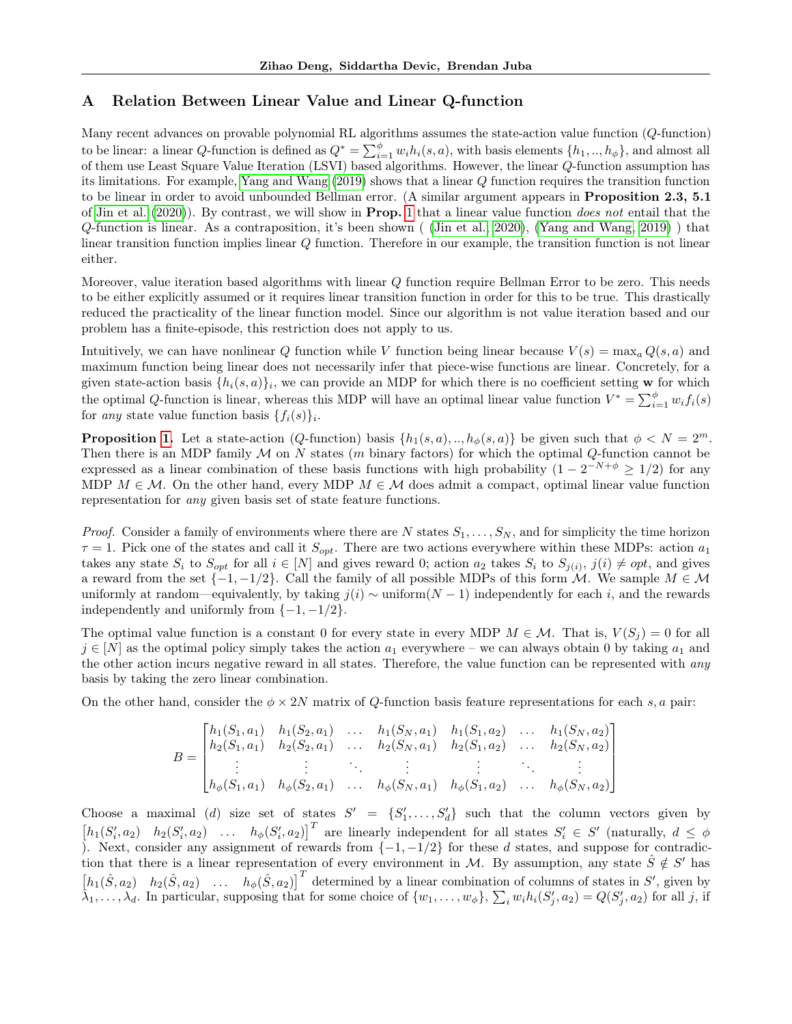# <span id="page-11-0"></span>A Relation Between Linear Value and Linear Q-function

Many recent advances on provable polynomial RL algorithms assumes the state-action value function (Q-function) to be linear: a linear Q-function is defined as  $Q^* = \sum_{i=1}^{\phi} w_i h_i(s, a)$ , with basis elements  $\{h_1, ..., h_{\phi}\}$ , and almost all of them use Least Square Value Iteration (LSVI) based algorithms. However, the linear Q-function assumption has its limitations. For example, [Yang and Wang](#page-10-5) [\(2019\)](#page-10-5) shows that a linear Q function requires the transition function to be linear in order to avoid unbounded Bellman error. (A similar argument appears in **Proposition 2.3, 5.1**) of [Jin et al.](#page-9-16)  $(2020)$ ). By contrast, we will show in **Prop.** [1](#page-3-2) that a linear value function *does not* entail that the Q-function is linear. As a contraposition, it's been shown ( [\(Jin et al., 2020\)](#page-9-16), [\(Yang and Wang, 2019\)](#page-10-5) ) that linear transition function implies linear Q function. Therefore in our example, the transition function is not linear either.

Moreover, value iteration based algorithms with linear Q function require Bellman Error to be zero. This needs to be either explicitly assumed or it requires linear transition function in order for this to be true. This drastically reduced the practicality of the linear function model. Since our algorithm is not value iteration based and our problem has a finite-episode, this restriction does not apply to us.

Intuitively, we can have nonlinear Q function while V function being linear because  $V(s) = \max_a Q(s, a)$  and maximum function being linear does not necessarily infer that piece-wise functions are linear. Concretely, for a given state-action basis  $\{h_i(s, a)\}_i$ , we can provide an MDP for which there is no coefficient setting w for which the optimal Q-function is linear, whereas this MDP will have an optimal linear value function  $V^* = \sum_{i=1}^{\phi} w_i f_i(s)$ for any state value function basis  $\{f_i(s)\}_i$ .

**Proposition [1.](#page-3-2)** Let a state-action (Q-function) basis  $\{h_1(s, a), ..., h_\phi(s, a)\}\)$  be given such that  $\phi < N = 2^m$ . Then there is an MDP family  $M$  on N states (m binary factors) for which the optimal  $Q$ -function cannot be expressed as a linear combination of these basis functions with high probability  $(1 - 2^{-N+\phi} \ge 1/2)$  for any MDP  $M \in \mathcal{M}$ . On the other hand, every MDP  $M \in \mathcal{M}$  does admit a compact, optimal linear value function representation for any given basis set of state feature functions.

*Proof.* Consider a family of environments where there are N states  $S_1, \ldots, S_N$ , and for simplicity the time horizon  $\tau = 1$ . Pick one of the states and call it  $S_{opt}$ . There are two actions everywhere within these MDPs: action  $a_1$ takes any state  $S_i$  to  $S_{opt}$  for all  $i \in [N]$  and gives reward 0; action  $a_2$  takes  $S_i$  to  $S_{j(i)}$ ,  $j(i) \neq opt$ , and gives a reward from the set  $\{-1,-1/2\}$ . Call the family of all possible MDPs of this form  $\mathcal{M}$ . We sample  $M \in \mathcal{M}$ uniformly at random—equivalently, by taking  $j(i) \sim \text{uniform}(N-1)$  independently for each i, and the rewards independently and uniformly from  $\{-1, -1/2\}$ .

The optimal value function is a constant 0 for every state in every MDP  $M \in \mathcal{M}$ . That is,  $V(S_i) = 0$  for all  $j \in [N]$  as the optimal policy simply takes the action  $a_1$  everywhere – we can always obtain 0 by taking  $a_1$  and the other action incurs negative reward in all states. Therefore, the value function can be represented with any basis by taking the zero linear combination.

On the other hand, consider the  $\phi \times 2N$  matrix of Q-function basis feature representations for each s, a pair:

$$
B = \begin{bmatrix} h_1(S_1, a_1) & h_1(S_2, a_1) & \dots & h_1(S_N, a_1) & h_1(S_1, a_2) & \dots & h_1(S_N, a_2) \\ h_2(S_1, a_1) & h_2(S_2, a_1) & \dots & h_2(S_N, a_1) & h_2(S_1, a_2) & \dots & h_2(S_N, a_2) \\ \vdots & \vdots & \ddots & \vdots & \vdots & \ddots & \vdots \\ h_{\phi}(S_1, a_1) & h_{\phi}(S_2, a_1) & \dots & h_{\phi}(S_N, a_1) & h_{\phi}(S_1, a_2) & \dots & h_{\phi}(S_N, a_2) \end{bmatrix}
$$

Choose a maximal (d) size set of states  $S' = \{S'_1, \ldots, S'_d\}$  such that the column vectors given by  $[h_1(S'_i, a_2) \quad h_2(S'_i, a_2) \quad \ldots \quad h_{\phi}(S'_i, a_2)]^T$  are linearly independent for all states  $S'_i \in S'$  (naturally,  $d \leq \phi$ ). Next, consider any assignment of rewards from  $\{-1, -1/2\}$  for these d states, and suppose for contradiction that there is a linear representation of every environment in M. By assumption, any state  $\hat{S} \notin S'$  has  $\begin{bmatrix} h_1(\hat{S}, a_2) & h_2(\hat{S}, a_2) & \dots & h_{\phi}(\hat{S}, a_2) \end{bmatrix}^T$  determined by a linear combination of columns of states in S', given by  $\lambda_1, \ldots, \lambda_d$ . In particular, supposing that for some choice of  $\{w_1, \ldots, w_{\phi}\}, \sum_i w_i h_i(S'_j, a_2) = Q(S'_j, a_2)$  for all j, if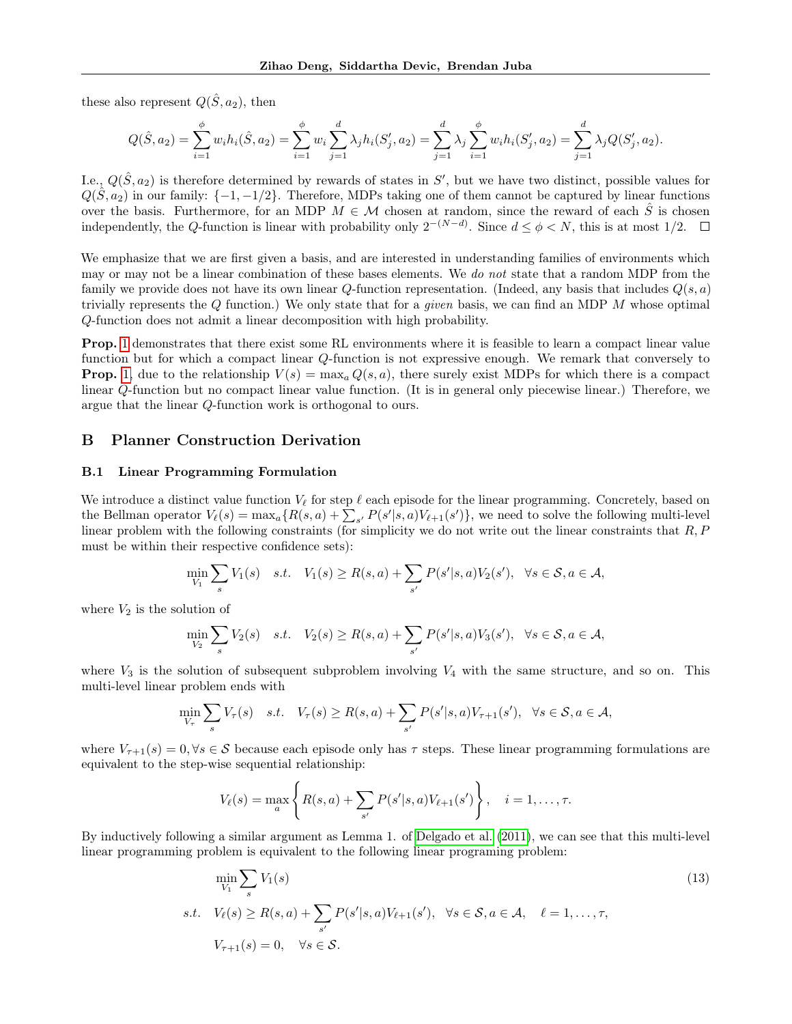these also represent  $Q(\hat{S}, a_2)$ , then

$$
Q(\hat{S}, a_2) = \sum_{i=1}^{\phi} w_i h_i(\hat{S}, a_2) = \sum_{i=1}^{\phi} w_i \sum_{j=1}^{d} \lambda_j h_i(S'_j, a_2) = \sum_{j=1}^{d} \lambda_j \sum_{i=1}^{\phi} w_i h_i(S'_j, a_2) = \sum_{j=1}^{d} \lambda_j Q(S'_j, a_2).
$$

I.e.,  $Q(\hat{S}, a_2)$  is therefore determined by rewards of states in S', but we have two distinct, possible values for  $Q(\hat{S}, a_2)$  in our family:  $\{-1, -1/2\}$ . Therefore, MDPs taking one of them cannot be captured by linear functions over the basis. Furthermore, for an MDP  $M \in \mathcal{M}$  chosen at random, since the reward of each  $\tilde{S}$  is chosen independently, the Q-function is linear with probability only  $2^{-(N-d)}$ . Since  $d \leq \phi < N$ , this is at most 1/2.

We emphasize that we are first given a basis, and are interested in understanding families of environments which may or may not be a linear combination of these bases elements. We do not state that a random MDP from the family we provide does not have its own linear Q-function representation. (Indeed, any basis that includes  $Q(s, a)$ ) trivially represents the  $Q$  function.) We only state that for a *given* basis, we can find an MDP  $M$  whose optimal Q-function does not admit a linear decomposition with high probability.

Prop. [1](#page-3-2) demonstrates that there exist some RL environments where it is feasible to learn a compact linear value function but for which a compact linear Q-function is not expressive enough. We remark that conversely to **Prop.** [1,](#page-3-2) due to the relationship  $V(s) = \max_a Q(s, a)$ , there surely exist MDPs for which there is a compact linear Q-function but no compact linear value function. (It is in general only piecewise linear.) Therefore, we argue that the linear Q-function work is orthogonal to ours.

# B Planner Construction Derivation

### <span id="page-12-0"></span>B.1 Linear Programming Formulation

We introduce a distinct value function  $V_\ell$  for step  $\ell$  each episode for the linear programming. Concretely, based on the Bellman operator  $V_{\ell}(s) = \max_{a} \{ R(s, a) + \sum_{s'} P(s'|s, a) V_{\ell+1}(s') \}$ , we need to solve the following multi-level linear problem with the following constraints (for simplicity we do not write out the linear constraints that  $R, P$ must be within their respective confidence sets):

$$
\min_{V_1} \sum_s V_1(s) \quad s.t. \quad V_1(s) \ge R(s, a) + \sum_{s'} P(s'|s, a) V_2(s'), \quad \forall s \in \mathcal{S}, a \in \mathcal{A},
$$

where  $V_2$  is the solution of

$$
\min_{V_2} \sum_s V_2(s) \quad s.t. \quad V_2(s) \ge R(s,a) + \sum_{s'} P(s'|s,a) V_3(s'), \quad \forall s \in \mathcal{S}, a \in \mathcal{A},
$$

where  $V_3$  is the solution of subsequent subproblem involving  $V_4$  with the same structure, and so on. This multi-level linear problem ends with

$$
\min_{V_{\tau}} \sum_{s} V_{\tau}(s) \quad s.t. \quad V_{\tau}(s) \ge R(s,a) + \sum_{s'} P(s'|s,a) V_{\tau+1}(s'), \quad \forall s \in \mathcal{S}, a \in \mathcal{A},
$$

where  $V_{\tau+1}(s) = 0, \forall s \in \mathcal{S}$  because each episode only has  $\tau$  steps. These linear programming formulations are equivalent to the step-wise sequential relationship:

$$
V_{\ell}(s) = \max_{a} \left\{ R(s, a) + \sum_{s'} P(s'|s, a) V_{\ell+1}(s') \right\}, \quad i = 1, ..., \tau.
$$

By inductively following a similar argument as Lemma 1. of [Delgado et al.](#page-8-2) [\(2011\)](#page-8-2), we can see that this multi-level linear programming problem is equivalent to the following linear programing problem:

$$
\min_{V_1} \sum_{s} V_1(s)
$$
\n
$$
s.t. \quad V_{\ell}(s) \ge R(s, a) + \sum_{s'} P(s'|s, a) V_{\ell+1}(s'), \quad \forall s \in \mathcal{S}, a \in \mathcal{A}, \quad \ell = 1, \dots, \tau,
$$
\n
$$
V_{\tau+1}(s) = 0, \quad \forall s \in \mathcal{S}.
$$
\n
$$
(13)
$$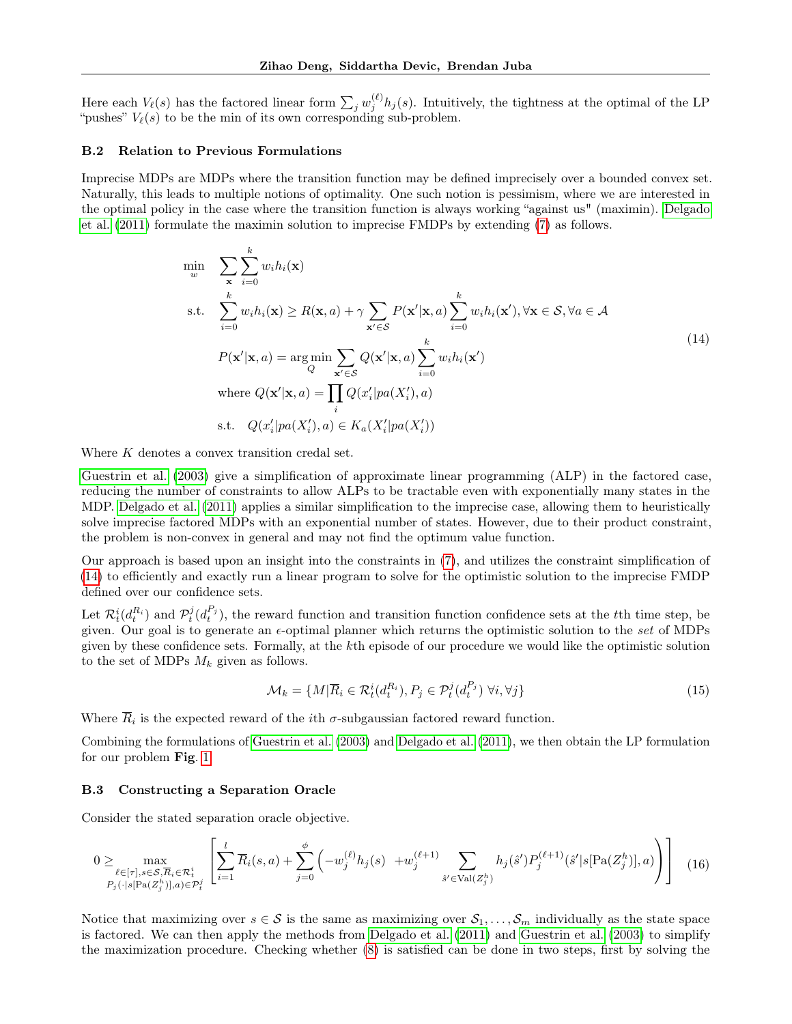Here each  $V_{\ell}(s)$  has the factored linear form  $\sum_j w_j^{(\ell)} h_j(s)$ . Intuitively, the tightness at the optimal of the LP "pushes"  $V_{\ell}(s)$  to be the min of its own corresponding sub-problem.

### <span id="page-13-1"></span>B.2 Relation to Previous Formulations

Imprecise MDPs are MDPs where the transition function may be defined imprecisely over a bounded convex set. Naturally, this leads to multiple notions of optimality. One such notion is pessimism, where we are interested in the optimal policy in the case where the transition function is always working "against us" (maximin). [Delgado](#page-8-2) [et al.](#page-8-2) [\(2011\)](#page-8-2) formulate the maximin solution to imprecise FMDPs by extending [\(7\)](#page-4-2) as follows.

<span id="page-13-2"></span>
$$
\min_{w} \sum_{\mathbf{x}} \sum_{i=0}^{k} w_{i} h_{i}(\mathbf{x})
$$
\n
$$
\text{s.t.} \sum_{i=0}^{k} w_{i} h_{i}(\mathbf{x}) \geq R(\mathbf{x}, a) + \gamma \sum_{\mathbf{x}' \in \mathcal{S}} P(\mathbf{x}' | \mathbf{x}, a) \sum_{i=0}^{k} w_{i} h_{i}(\mathbf{x}'), \forall \mathbf{x} \in \mathcal{S}, \forall a \in \mathcal{A}
$$
\n
$$
P(\mathbf{x}' | \mathbf{x}, a) = \underset{Q}{\arg \min} \sum_{\mathbf{x}' \in \mathcal{S}} Q(\mathbf{x}' | \mathbf{x}, a) \sum_{i=0}^{k} w_{i} h_{i}(\mathbf{x}')
$$
\n
$$
\text{where } Q(\mathbf{x}' | \mathbf{x}, a) = \prod_{i} Q(x'_{i} | pa(X'_{i}), a)
$$
\n
$$
\text{s.t.} \quad Q(x'_{i} | pa(X'_{i}), a) \in K_{a}(X'_{i} | pa(X'_{i}))
$$
\n
$$
\text{(14)}
$$

Where K denotes a convex transition credal set.

[Guestrin et al.](#page-9-0) [\(2003\)](#page-9-0) give a simplification of approximate linear programming (ALP) in the factored case, reducing the number of constraints to allow ALPs to be tractable even with exponentially many states in the MDP. [Delgado et al.](#page-8-2) [\(2011\)](#page-8-2) applies a similar simplification to the imprecise case, allowing them to heuristically solve imprecise factored MDPs with an exponential number of states. However, due to their product constraint, the problem is non-convex in general and may not find the optimum value function.

Our approach is based upon an insight into the constraints in [\(7\)](#page-4-2), and utilizes the constraint simplification of [\(14\)](#page-13-2) to efficiently and exactly run a linear program to solve for the optimistic solution to the imprecise FMDP defined over our confidence sets.

Let  $\mathcal{R}_t^i(d_i^{R_i})$  and  $\mathcal{P}_t^j(d_i^{P_j})$ , the reward function and transition function confidence sets at the tth time step, be given. Our goal is to generate an  $\epsilon$ -optimal planner which returns the optimistic solution to the set of MDPs given by these confidence sets. Formally, at the kth episode of our procedure we would like the optimistic solution to the set of MDPs  $M_k$  given as follows.

$$
\mathcal{M}_k = \{ M | \overline{R}_i \in \mathcal{R}_t^i(d_t^{R_i}), P_j \in \mathcal{P}_t^j(d_t^{P_j}) \,\,\forall i, \forall j \}
$$
\n
$$
(15)
$$

Where  $R_i$  is the expected reward of the *i*th  $\sigma$ -subgaussian factored reward function.

Combining the formulations of [Guestrin et al.](#page-9-0) [\(2003\)](#page-9-0) and [Delgado et al.](#page-8-2) [\(2011\)](#page-8-2), we then obtain the LP formulation for our problem Fig. [1.](#page-5-1)

### <span id="page-13-0"></span>B.3 Constructing a Separation Oracle

Consider the stated separation oracle objective.

$$
0 \ge \max_{\substack{\ell \in [\tau], s \in \mathcal{S}, \overline{R}_i \in \mathcal{R}_t^i \\ P_j(\cdot | s[\text{Pa}(Z_j^h)], a) \in \mathcal{P}_t^j}} \left[ \sum_{i=1}^l \overline{R}_i(s, a) + \sum_{j=0}^\phi \left( -w_j^{(\ell)} h_j(s) + w_j^{(\ell+1)} \sum_{\hat{s}' \in \text{Val}(Z_j^h)} h_j(\hat{s}') P_j^{(\ell+1)}(\hat{s}' | s[\text{Pa}(Z_j^h)], a) \right) \right] \tag{16}
$$

Notice that maximizing over  $s \in S$  is the same as maximizing over  $S_1, \ldots, S_m$  individually as the state space is factored. We can then apply the methods from [Delgado et al.](#page-8-2) [\(2011\)](#page-8-2) and [Guestrin et al.](#page-9-0) [\(2003\)](#page-9-0) to simplify the maximization procedure. Checking whether [\(8\)](#page-5-2) is satisfied can be done in two steps, first by solving the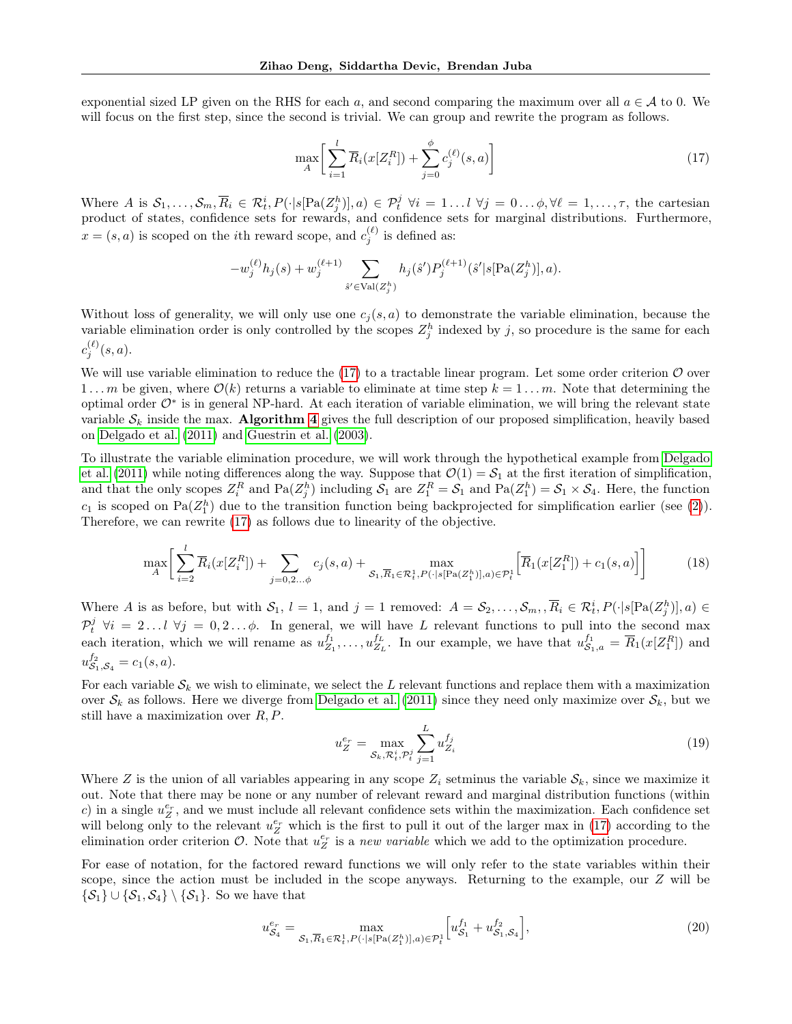exponential sized LP given on the RHS for each a, and second comparing the maximum over all  $a \in \mathcal{A}$  to 0. We will focus on the first step, since the second is trivial. We can group and rewrite the program as follows.

<span id="page-14-0"></span>
$$
\max_{A} \bigg[ \sum_{i=1}^{l} \overline{R}_i (x[Z_i^R]) + \sum_{j=0}^{\phi} c_j^{(\ell)}(s, a) \bigg] \tag{17}
$$

Where A is  $S_1, \ldots, S_m, \overline{R}_i \in \mathcal{R}_t^i$ ,  $P(\cdot | s[\text{Pa}(Z_j^h)], a) \in \mathcal{P}_t^j \ \forall i = 1 \ldots l \ \forall j = 0 \ldots \phi, \forall \ell = 1, \ldots, \tau$ , the cartesian product of states, confidence sets for rewards, and confidence sets for marginal distributions. Furthermore,  $x = (s, a)$  is scoped on the *i*th reward scope, and  $c_j^{(\ell)}$  is defined as:

$$
-w_j^{(\ell)} h_j(s) + w_j^{(\ell+1)} \sum_{\hat{s}' \in \text{Val}(Z_j^h)} h_j(\hat{s}') P_j^{(\ell+1)}(\hat{s}' | s[\text{Pa}(Z_j^h)], a).
$$

Without loss of generality, we will only use one  $c_j(s, a)$  to demonstrate the variable elimination, because the variable elimination order is only controlled by the scopes  $Z_j^h$  indexed by j, so procedure is the same for each  $c_j^{(\ell)}(s,a).$ 

We will use variable elimination to reduce the  $(17)$  to a tractable linear program. Let some order criterion  $\mathcal O$  over 1...m be given, where  $\mathcal{O}(k)$  returns a variable to eliminate at time step  $k = 1 \dots m$ . Note that determining the optimal order  $\mathcal{O}^*$  is in general NP-hard. At each iteration of variable elimination, we will bring the relevant state variable  $S_k$  inside the max. Algorithm [4](#page-17-0) gives the full description of our proposed simplification, heavily based on [Delgado et al.](#page-8-2) [\(2011\)](#page-8-2) and [Guestrin et al.](#page-9-0) [\(2003\)](#page-9-0).

To illustrate the variable elimination procedure, we will work through the hypothetical example from [Delgado](#page-8-2) [et al.](#page-8-2) [\(2011\)](#page-8-2) while noting differences along the way. Suppose that  $\mathcal{O}(1) = \mathcal{S}_1$  at the first iteration of simplification, and that the only scopes  $Z_i^R$  and  $\text{Pa}(Z_j^h)$  including  $S_1$  are  $Z_1^R = S_1$  and  $\text{Pa}(Z_1^h) = S_1 \times S_4$ . Here, the function  $c_1$  is scoped on Pa( $\mathbb{Z}_1^h$ ) due to the transition function being backprojected for simplification earlier (see [\(2\)](#page-2-1)). Therefore, we can rewrite [\(17\)](#page-14-0) as follows due to linearity of the objective.

<span id="page-14-1"></span>
$$
\max_{A} \bigg[ \sum_{i=2}^{l} \overline{R}_i(x[Z_i^R]) + \sum_{j=0,2...,\phi} c_j(s,a) + \max_{\mathcal{S}_1, \overline{R}_1 \in \mathcal{R}_t^1, P(\cdot | s[\text{Pa}(Z_1^h)], a) \in \mathcal{P}_t^1} \bigg[ \overline{R}_1(x[Z_1^R]) + c_1(s,a) \bigg] \bigg] \tag{18}
$$

Where A is as before, but with  $S_1$ ,  $l = 1$ , and  $j = 1$  removed:  $A = S_2, \ldots, S_m$ ,  $\overline{R}_i \in \mathcal{R}_t^i$ ,  $P(\cdot | s[Pa(Z_j^h)], a) \in$  $\mathcal{P}_t^j$   $\forall i = 2...l$   $\forall j = 0,2...$   $\phi$ . In general, we will have L relevant functions to pull into the second max each iteration, which we will rename as  $u_{Z_1}^{f_1}, \ldots, u_{Z_L}^{f_L}$ . In our example, we have that  $u_{S_1,a}^{f_1} = \overline{R}_1(x[Z_1^R])$  and  $u_{\mathcal{S}_1,\mathcal{S}_4}^{f_2} = c_1(s,a).$ 

For each variable  $S_k$  we wish to eliminate, we select the L relevant functions and replace them with a maximization over  $S_k$  as follows. Here we diverge from [Delgado et al.](#page-8-2) [\(2011\)](#page-8-2) since they need only maximize over  $S_k$ , but we still have a maximization over  $R, P$ .

$$
u_Z^{e_r} = \max_{\mathcal{S}_k, \mathcal{R}_t^i, \mathcal{P}_t^j} \sum_{j=1}^L u_{Z_i}^{f_j}
$$
 (19)

Where Z is the union of all variables appearing in any scope  $Z_i$  setminus the variable  $S_k$ , since we maximize it out. Note that there may be none or any number of relevant reward and marginal distribution functions (within c) in a single  $u_Z^{e_r}$ , and we must include all relevant confidence sets within the maximization. Each confidence set will belong only to the relevant  $u_Z^{e_r}$  which is the first to pull it out of the larger max in [\(17\)](#page-14-0) according to the elimination order criterion  $\mathcal{O}$ . Note that  $u_Z^{e_r}$  is a new variable which we add to the optimization procedure.

For ease of notation, for the factored reward functions we will only refer to the state variables within their scope, since the action must be included in the scope anyways. Returning to the example, our Z will be  $\{\mathcal{S}_1\} \cup \{\mathcal{S}_1,\mathcal{S}_4\} \setminus \{\mathcal{S}_1\}.$  So we have that

<span id="page-14-2"></span>
$$
u_{\mathcal{S}_4}^{e_r} = \max_{\mathcal{S}_1, \overline{R}_1 \in \mathcal{R}_t^1, P(\cdot | s[\text{Pa}(Z_1^h)], a) \in \mathcal{P}_t^1} \left[ u_{\mathcal{S}_1}^{f_1} + u_{\mathcal{S}_1, \mathcal{S}_4}^{f_2} \right],\tag{20}
$$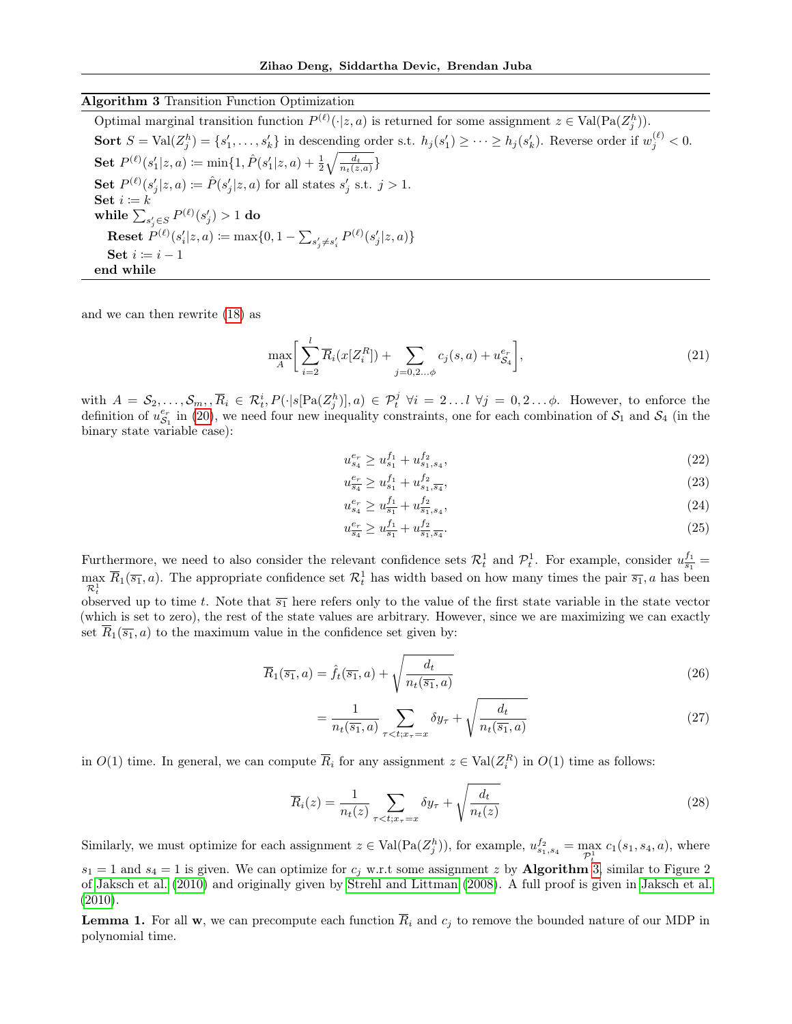# Algorithm 3 Transition Function Optimization

<span id="page-15-0"></span>Optimal marginal transition function  $P^{(\ell)}(\cdot|z,a)$  is returned for some assignment  $z \in Val(Pa(Z_j^h))$ . Sort  $S = \text{Val}(Z_j^h) = \{s'_1, \ldots, s'_k\}$  in descending order s.t.  $h_j(s'_1) \geq \cdots \geq h_j(s'_k)$ . Reverse order if  $w_j^{(\ell)} < 0$ .  $\textbf{Set} \; P^{(\ell)}(s_1'|z,a) \coloneqq \min\{1, \hat{P}(s_1'|z,a) + \frac{1}{2} \sqrt{\frac{d_t}{n_t(z,a)}}\}$ Set  $P^{(\ell)}(s'_j|z,a) \coloneqq \hat{P}(s'_j|z,a)$  for all states  $s'_j$  s.t.  $j > 1$ . Set  $i \coloneqq k$ while  $\sum_{s_j' \in S} P^{(\ell)}(s_j') > 1$  do **Reset**  $P^{(\ell)}(s_i'|z, a) \coloneqq \max\{0, 1 - \sum_{s_j' \neq s_i'} P^{(\ell)}(s_j'|z, a)\}$ Set  $i \coloneqq i - 1$ end while

and we can then rewrite [\(18\)](#page-14-1) as

$$
\max_{A} \bigg[ \sum_{i=2}^{l} \overline{R}_i (x[Z_i^R]) + \sum_{j=0,2...,\phi} c_j(s, a) + u_{S_4}^{e_r} \bigg], \tag{21}
$$

with  $A = S_2, \ldots, S_m, \overline{R}_i \in \mathcal{R}_t^i$ ,  $P(\cdot | s[Pa(Z_j^h)], a) \in \mathcal{P}_t^j \ \forall i = 2 \ldots l \ \forall j = 0, 2 \ldots \phi$ . However, to enforce the definition of  $u_{S_1}^{e_r}$  in [\(20\)](#page-14-2), we need four new inequality constraints, one for each combination of  $S_1$  and  $S_4$  (in the binary state variable case):

$$
u_{s_4}^{e_r} \ge u_{s_1}^{f_1} + u_{s_1, s_4}^{f_2},\tag{22}
$$

$$
u_{\overline{s_4}}^{e_r} \ge u_{s_1}^{f_1} + u_{s_1, \overline{s_4}}^{f_2},\tag{23}
$$

$$
u_{s_4}^{e_r} \ge u_{\overline{s_1}}^{f_1} + u_{\overline{s_1}, s_4}^{f_2},\tag{24}
$$

$$
u_{\overline{s_4}}^{e_r} \ge u_{\overline{s_1}}^{f_1} + u_{\overline{s_1}, \overline{s_4}}^{f_2}.\tag{25}
$$

Furthermore, we need to also consider the relevant confidence sets  $\mathcal{R}_t^1$  and  $\mathcal{P}_t^1$ . For example, consider  $u_{\overline{s_1}}^{f_1}$  =  $\max_{\mathcal{R}_t^1} \overline{R}_1(\overline{s_1}, a)$ . The appropriate confidence set  $\mathcal{R}_t^1$  has width based on how many times the pair  $\overline{s_1}$ , a has been observed up to time t. Note that  $\overline{s_1}$  here refers only to the value of the first state variable in the state vector (which is set to zero), the rest of the state values are arbitrary. However, since we are maximizing we can exactly set  $\overline{R}_1(\overline{s_1}, a)$  to the maximum value in the confidence set given by:

$$
\overline{R}_1(\overline{s_1}, a) = \hat{f}_t(\overline{s_1}, a) + \sqrt{\frac{d_t}{n_t(\overline{s_1}, a)}}
$$
\n(26)

$$
= \frac{1}{n_t(\overline{s_1}, a)} \sum_{\tau < t; x_\tau = x} \delta y_\tau + \sqrt{\frac{d_t}{n_t(\overline{s_1}, a)}} \tag{27}
$$

in  $O(1)$  time. In general, we can compute  $\overline{R}_i$  for any assignment  $z \in Val(Z_i^R)$  in  $O(1)$  time as follows:

$$
\overline{R}_i(z) = \frac{1}{n_t(z)} \sum_{\tau < t; x_\tau = x} \delta y_\tau + \sqrt{\frac{d_t}{n_t(z)}} \tag{28}
$$

Similarly, we must optimize for each assignment  $z \in Val(Pa(Z_j^h))$ , for example,  $u_{s_1,s_4}^{f_2} = \max_{\mathcal{P}_t^1} c_1(s_1, s_4, a)$ , where

 $s_1 = 1$  and  $s_4 = 1$  is given. We can optimize for  $c_j$  w.r.t some assignment z by **Algorithm** [3,](#page-15-0) similar to Figure 2 of [Jaksch et al.](#page-9-8) [\(2010\)](#page-9-8) and originally given by [Strehl and Littman](#page-9-21) [\(2008\)](#page-9-21). A full proof is given in [Jaksch et al.](#page-9-8) [\(2010\)](#page-9-8).

<span id="page-15-1"></span>**Lemma 1.** For all w, we can precompute each function  $\overline{R}_i$  and  $c_j$  to remove the bounded nature of our MDP in polynomial time.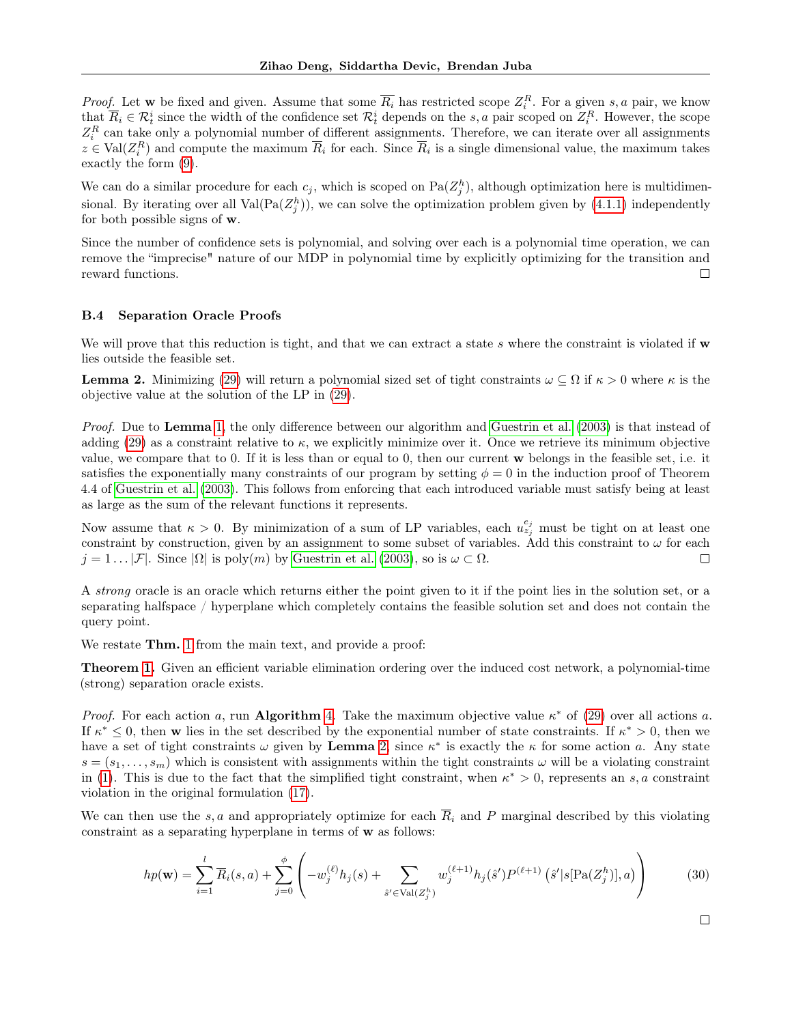*Proof.* Let w be fixed and given. Assume that some  $\overline{R_i}$  has restricted scope  $Z_i^R$ . For a given s, a pair, we know that  $\overline{R}_i \in \mathcal{R}_t^i$  since the width of the confidence set  $\mathcal{R}_t^i$  depends on the s, a pair scoped on  $Z_i^R$ . However, the scope  $Z_i^R$  can take only a polynomial number of different assignments. Therefore, we can iterate over all assignments  $z \in Val(Z_i^R)$  and compute the maximum  $\overline{R}_i$  for each. Since  $\overline{R}_i$  is a single dimensional value, the maximum takes exactly the form [\(9\)](#page-5-0).

We can do a similar procedure for each  $c_j$ , which is scoped on  $\text{Pa}(Z_j^h)$ , although optimization here is multidimensional. By iterating over all  $Val(Pa(Z_j^h))$ , we can solve the optimization problem given by [\(4.1.1\)](#page-5-0) independently for both possible signs of w.

Since the number of confidence sets is polynomial, and solving over each is a polynomial time operation, we can remove the "imprecise" nature of our MDP in polynomial time by explicitly optimizing for the transition and reward functions.  $\Box$ 

### B.4 Separation Oracle Proofs

We will prove that this reduction is tight, and that we can extract a state s where the constraint is violated if  $\bf{w}$ lies outside the feasible set.

<span id="page-16-0"></span>**Lemma 2.** Minimizing [\(29\)](#page-17-1) will return a polynomial sized set of tight constraints  $\omega \subseteq \Omega$  if  $\kappa > 0$  where  $\kappa$  is the objective value at the solution of the LP in [\(29\)](#page-17-1).

Proof. Due to Lemma [1,](#page-15-1) the only difference between our algorithm and [Guestrin et al.](#page-9-0) [\(2003\)](#page-9-0) is that instead of adding [\(29\)](#page-17-1) as a constraint relative to  $\kappa$ , we explicitly minimize over it. Once we retrieve its minimum objective value, we compare that to 0. If it is less than or equal to 0, then our current w belongs in the feasible set, i.e. it satisfies the exponentially many constraints of our program by setting  $\phi = 0$  in the induction proof of Theorem 4.4 of [Guestrin et al.](#page-9-0) [\(2003\)](#page-9-0). This follows from enforcing that each introduced variable must satisfy being at least as large as the sum of the relevant functions it represents.

Now assume that  $\kappa > 0$ . By minimization of a sum of LP variables, each  $u_{z_j}^{e_j}$  must be tight on at least one constraint by construction, given by an assignment to some subset of variables. Add this constraint to  $\omega$  for each  $j = 1 \dots |\mathcal{F}|$ . Since  $|\Omega|$  is poly $(m)$  by [Guestrin et al.](#page-9-0) [\(2003\)](#page-9-0), so is  $\omega \subset \Omega$ .  $\Box$ 

A strong oracle is an oracle which returns either the point given to it if the point lies in the solution set, or a separating halfspace / hyperplane which completely contains the feasible solution set and does not contain the query point.

We restate **Thm.** [1](#page-6-0) from the main text, and provide a proof:

Theorem [1.](#page-6-0) Given an efficient variable elimination ordering over the induced cost network, a polynomial-time (strong) separation oracle exists.

Proof. For each action a, run Algorithm [4.](#page-17-0) Take the maximum objective value  $\kappa^*$  of [\(29\)](#page-17-1) over all actions a. If  $\kappa^* \leq 0$ , then w lies in the set described by the exponential number of state constraints. If  $\kappa^* > 0$ , then we have a set of tight constraints  $\omega$  given by **Lemma** [2,](#page-16-0) since  $\kappa^*$  is exactly the  $\kappa$  for some action a. Any state  $s = (s_1, \ldots, s_m)$  which is consistent with assignments within the tight constraints  $\omega$  will be a violating constraint in [\(1\)](#page-5-1). This is due to the fact that the simplified tight constraint, when  $\kappa^* > 0$ , represents an s, a constraint violation in the original formulation [\(17\)](#page-14-0).

We can then use the s, a and appropriately optimize for each  $\overline{R}_i$  and P marginal described by this violating constraint as a separating hyperplane in terms of w as follows:

$$
hp(\mathbf{w}) = \sum_{i=1}^{l} \overline{R}_i(s, a) + \sum_{j=0}^{\phi} \left( -w_j^{(\ell)} h_j(s) + \sum_{\hat{s}' \in \text{Val}(Z_j^h)} w_j^{(\ell+1)} h_j(\hat{s}') P^{(\ell+1)}(\hat{s}' | s[\text{Pa}(Z_j^h)], a) \right)
$$
(30)

 $\Box$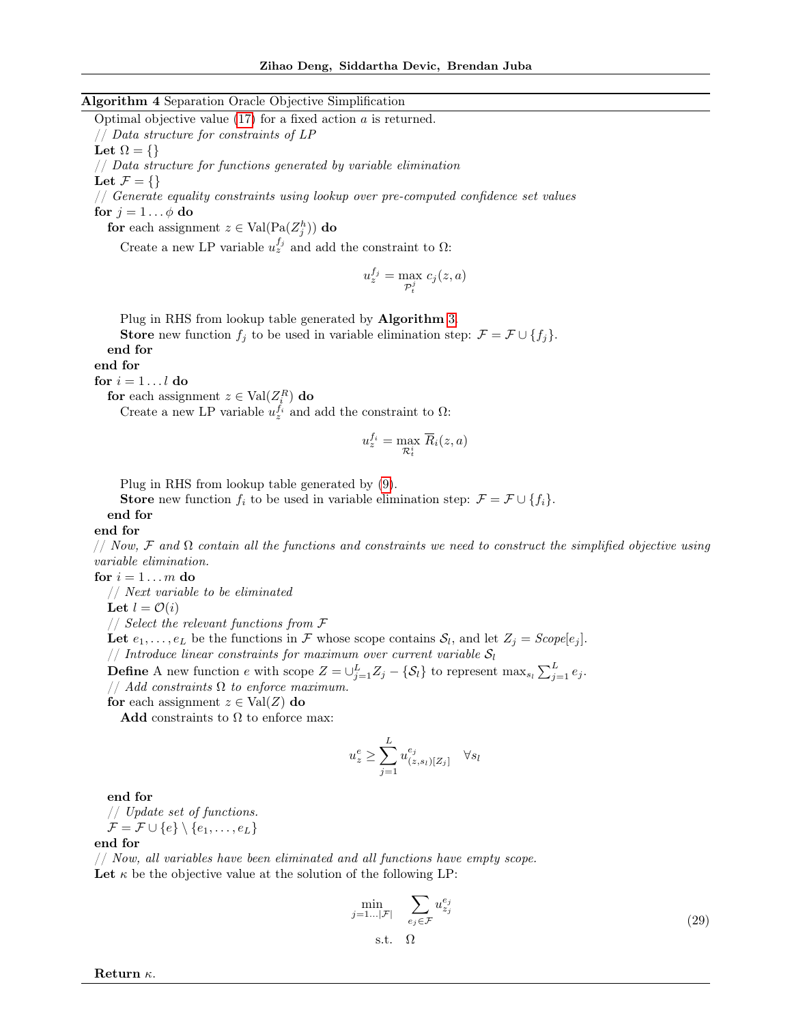#### Algorithm 4 Separation Oracle Objective Simplification

<span id="page-17-0"></span>Optimal objective value  $(17)$  for a fixed action a is returned. // Data structure for constraints of LP

Let  $\Omega = \{\}$ 

// Data structure for functions generated by variable elimination

Let  $\mathcal{F} = \{\}$ 

// Generate equality constraints using lookup over pre-computed confidence set values for  $j = 1 \dots \phi$  do

for each assignment  $z \in Val(Pa(Z_j^h))$  do

Create a new LP variable  $u_z^{f_j}$  and add the constraint to  $\Omega$ :

$$
u_z^{f_j} = \max_{\mathcal{P}_t^j} c_j(z, a)
$$

Plug in RHS from lookup table generated by Algorithm [3.](#page-15-0)

**Store** new function  $f_i$  to be used in variable elimination step:  $\mathcal{F} = \mathcal{F} \cup \{f_i\}.$ end for

end for

for  $i=1\dots l$  do

for each assignment  $z \in \text{Val}(Z_i^R)$  do

Create a new LP variable  $u_z^{f_i}$  and add the constraint to  $\Omega$ :

$$
u_z^{f_i} = \max_{\mathcal{R}_t^i} \overline{R}_i(z,a)
$$

Plug in RHS from lookup table generated by [\(9\)](#page-5-0).

**Store** new function  $f_i$  to be used in variable elimination step:  $\mathcal{F} = \mathcal{F} \cup \{f_i\}.$ 

# end for

end for

// Now, F and  $\Omega$  contain all the functions and constraints we need to construct the simplified objective using variable elimination.

for  $i = 1 \ldots m$  do

// Next variable to be eliminated

Let  $l = \mathcal{O}(i)$ 

// Select the relevant functions from F

Let  $e_1, \ldots, e_L$  be the functions in F whose scope contains  $S_l$ , and let  $Z_j = \text{Scope}[e_j]$ . // Introduce linear constraints for maximum over current variable  $S_l$ 

**Define** A new function e with scope  $Z = \bigcup_{j=1}^{L} Z_j - \{S_l\}$  to represent  $\max_{s_l} \sum_{j=1}^{L} e_j$ . // Add constraints  $\Omega$  to enforce maximum.

for each assignment  $z \in Val(Z)$  do

Add constraints to  $\Omega$  to enforce max:

$$
u_z^e \ge \sum_{j=1}^L u_{(z,s_l)[Z_j]}^{e_j} \quad \forall s_l
$$

end for

$$
\begin{array}{l} // \ \textit{Update set of functions.} \\ \mathcal{F} = \mathcal{F} \cup \{e\} \setminus \{e_1, \ldots, e_L\} \end{array}
$$

#### end for

// Now, all variables have been eliminated and all functions have empty scope. Let  $\kappa$  be the objective value at the solution of the following LP:

<span id="page-17-1"></span>
$$
\min_{j=1\ldots|\mathcal{F}|} \quad \sum_{e_j \in \mathcal{F}} u_{z_j}^{e_j} \tag{29}
$$

$$
\quad \text{s.t.} \quad \Omega
$$

Return κ.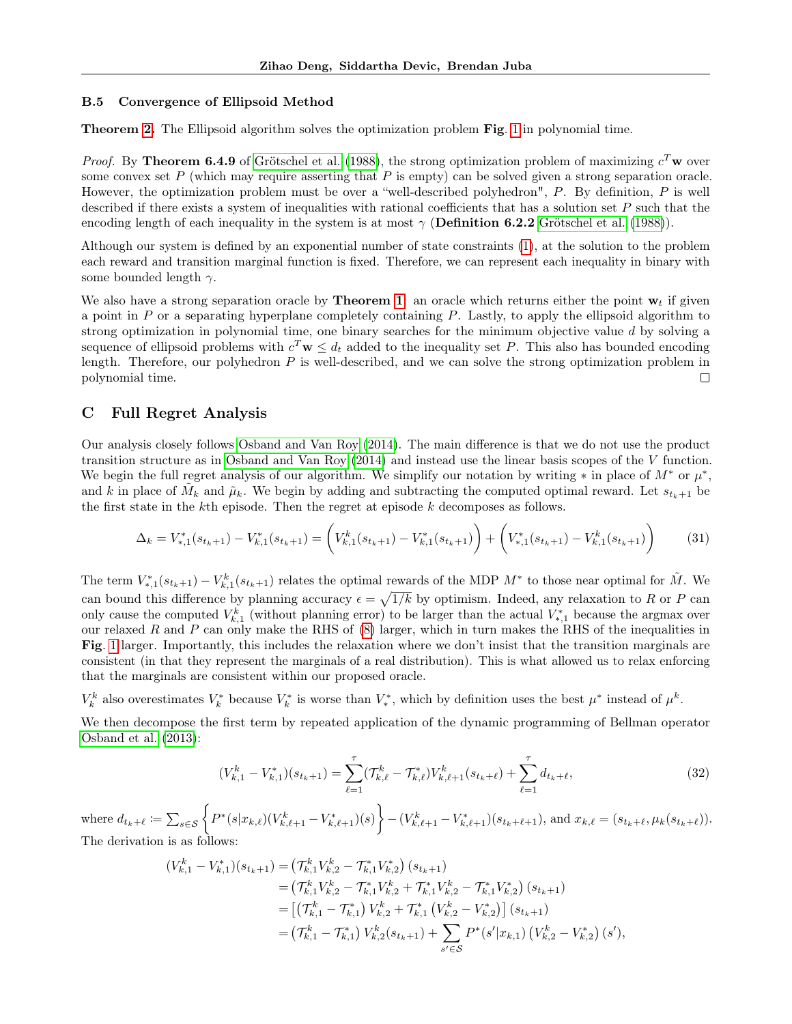### <span id="page-18-0"></span>B.5 Convergence of Ellipsoid Method

Theorem [2.](#page-7-3) The Ellipsoid algorithm solves the optimization problem Fig. [1](#page-5-1) in polynomial time.

*Proof.* By Theorem 6.4.9 of [Grötschel et al.](#page-9-19) [\(1988\)](#page-9-19), the strong optimization problem of maximizing  $c^T$  w over some convex set  $P$  (which may require asserting that  $P$  is empty) can be solved given a strong separation oracle. However, the optimization problem must be over a "well-described polyhedron",  $P$ . By definition,  $P$  is well described if there exists a system of inequalities with rational coefficients that has a solution set  $P$  such that the encoding length of each inequality in the system is at most  $\gamma$  (**Definition 6.2.2** [Grötschel et al.](#page-9-19) [\(1988\)](#page-9-19)).

Although our system is defined by an exponential number of state constraints [\(1\)](#page-5-1), at the solution to the problem each reward and transition marginal function is fixed. Therefore, we can represent each inequality in binary with some bounded length  $\gamma$ .

We also have a strong separation oracle by **Theorem [1](#page-6-0)**: an oracle which returns either the point  $w_t$  if given a point in  $P$  or a separating hyperplane completely containing  $P$ . Lastly, to apply the ellipsoid algorithm to strong optimization in polynomial time, one binary searches for the minimum objective value d by solving a sequence of ellipsoid problems with  $c^T \mathbf{w} \leq d_t$  added to the inequality set P. This also has bounded encoding length. Therefore, our polyhedron  $P$  is well-described, and we can solve the strong optimization problem in polynomial time.  $\Box$ 

# <span id="page-18-1"></span>C Full Regret Analysis

Our analysis closely follows [Osband and Van Roy](#page-9-2) [\(2014\)](#page-9-2). The main difference is that we do not use the product transition structure as in [Osband and Van Roy](#page-9-2) [\(2014\)](#page-9-2) and instead use the linear basis scopes of the V function. We begin the full regret analysis of our algorithm. We simplify our notation by writing  $*$  in place of  $M^*$  or  $\mu^*$ , and k in place of  $\tilde{M}_k$  and  $\tilde{\mu}_k$ . We begin by adding and subtracting the computed optimal reward. Let  $s_{t_k+1}$  be the first state in the  $k$ <sup>th</sup> episode. Then the regret at episode  $k$  decomposes as follows.

$$
\Delta_k = V_{*,1}^*(s_{t_k+1}) - V_{k,1}^*(s_{t_k+1}) = \left(V_{k,1}^k(s_{t_k+1}) - V_{k,1}^*(s_{t_k+1})\right) + \left(V_{*,1}^*(s_{t_k+1}) - V_{k,1}^k(s_{t_k+1})\right) \tag{31}
$$

The term  $V_{*,1}^*(s_{t_k+1}) - V_{k,1}^k(s_{t_k+1})$  relates the optimal rewards of the MDP  $M^*$  to those near optimal for  $\tilde{M}$ . We can bound this difference by planning accuracy  $\epsilon = \sqrt{1/k}$  by optimism. Indeed, any relaxation to R or P can only cause the computed  $V_{k,1}^k$  (without planning error) to be larger than the actual  $V_{*,1}^*$  because the argmax over our relaxed R and P can only make the RHS of  $(8)$  larger, which in turn makes the RHS of the inequalities in Fig. [1](#page-5-1) larger. Importantly, this includes the relaxation where we don't insist that the transition marginals are consistent (in that they represent the marginals of a real distribution). This is what allowed us to relax enforcing that the marginals are consistent within our proposed oracle.

 $V_k^k$  also overestimates  $V_k^*$  because  $V_k^*$  is worse than  $V_*^*$ , which by definition uses the best  $\mu^*$  instead of  $\mu^k$ .

We then decompose the first term by repeated application of the dynamic programming of Bellman operator [Osband et al.](#page-9-22) [\(2013\)](#page-9-22):

<span id="page-18-2"></span>
$$
(V_{k,1}^k - V_{k,1}^*)(s_{t_k+1}) = \sum_{\ell=1}^\tau (T_{k,\ell}^k - T_{k,\ell}^*) V_{k,\ell+1}^k(s_{t_k+\ell}) + \sum_{\ell=1}^\tau d_{t_k+\ell},\tag{32}
$$

 $\text{where } d_{t_k+\ell} \coloneqq \sum_{s \in \mathcal{S}} \left\{ P^*(s|x_{k,\ell})(V^k_{k,\ell+1} - V^*_{k,\ell+1})(s) \right\} - (V^k_{k,\ell+1} - V^*_{k,\ell+1})(s_{t_k+\ell+1}), \text{ and } x_{k,\ell} = (s_{t_k+\ell}, \mu_k(s_{t_k+\ell})).$ The derivation is as follows:

$$
(V_{k,1}^{k} - V_{k,1}^{*})(s_{t_{k}+1}) = (\mathcal{T}_{k,1}^{k} V_{k,2}^{k} - \mathcal{T}_{k,1}^{*} V_{k,2}^{*}) (s_{t_{k}+1})
$$
  
\n
$$
= (\mathcal{T}_{k,1}^{k} V_{k,2}^{k} - \mathcal{T}_{k,1}^{*} V_{k,2}^{k} + \mathcal{T}_{k,1}^{*} V_{k,2}^{k} - \mathcal{T}_{k,1}^{*} V_{k,2}^{*}) (s_{t_{k}+1})
$$
  
\n
$$
= [(\mathcal{T}_{k,1}^{k} - \mathcal{T}_{k,1}^{*}) V_{k,2}^{k} + \mathcal{T}_{k,1}^{*} (V_{k,2}^{k} - V_{k,2}^{*})] (s_{t_{k}+1})
$$
  
\n
$$
= (\mathcal{T}_{k,1}^{k} - \mathcal{T}_{k,1}^{*}) V_{k,2}^{k} (s_{t_{k}+1}) + \sum_{s' \in \mathcal{S}} P^{*}(s'|x_{k,1}) (V_{k,2}^{k} - V_{k,2}^{*}) (s'),
$$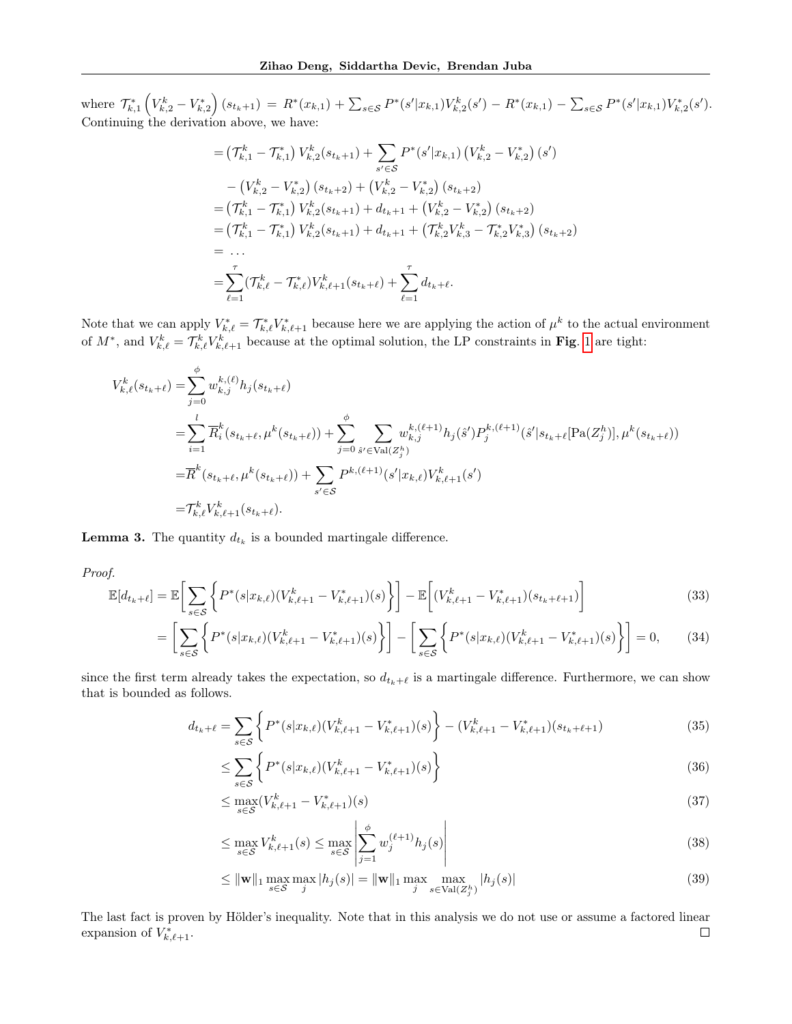where  $\mathcal{T}_{k,1}^* \left(V_{k,2}^k - V_{k,2}^*\right)(s_{t_k+1}) = R^*(x_{k,1}) + \sum_{s \in \mathcal{S}} P^*(s'|x_{k,1})V_{k,2}^*(s') - R^*(x_{k,1}) - \sum_{s \in \mathcal{S}} P^*(s'|x_{k,1})V_{k,2}^*(s').$ Continuing the derivation above, we have:

$$
= (\mathcal{T}_{k,1}^k - \mathcal{T}_{k,1}^*) V_{k,2}^k(s_{t_k+1}) + \sum_{s' \in S} P^*(s'|x_{k,1}) (V_{k,2}^k - V_{k,2}^*) (s')
$$
  
\n
$$
- (V_{k,2}^k - V_{k,2}^*) (s_{t_k+2}) + (V_{k,2}^k - V_{k,2}^*) (s_{t_k+2})
$$
  
\n
$$
= (\mathcal{T}_{k,1}^k - \mathcal{T}_{k,1}^*) V_{k,2}^k(s_{t_k+1}) + d_{t_k+1} + (V_{k,2}^k - V_{k,2}^*) (s_{t_k+2})
$$
  
\n
$$
= (\mathcal{T}_{k,1}^k - \mathcal{T}_{k,1}^*) V_{k,2}^k(s_{t_k+1}) + d_{t_k+1} + (\mathcal{T}_{k,2}^k V_{k,3}^k - \mathcal{T}_{k,2}^* V_{k,3}^*) (s_{t_k+2})
$$
  
\n
$$
= \dots
$$
  
\n
$$
= \sum_{\ell=1}^\tau (\mathcal{T}_{k,\ell}^k - \mathcal{T}_{k,\ell}^*) V_{k,\ell+1}^k(s_{t_k+\ell}) + \sum_{\ell=1}^\tau d_{t_k+\ell}.
$$

Note that we can apply  $V_{k,\ell}^* = \mathcal{T}_{k,\ell}^* V_{k,\ell+1}^*$  because here we are applying the action of  $\mu^k$  to the actual environment of  $M^*$ , and  $V_{k,\ell}^k = \mathcal{T}_{k,\ell}^k V_{k,\ell+1}^k$  because at the optimal solution, the LP constraints in Fig. [1](#page-5-1) are tight:

$$
V_{k,\ell}^{k}(s_{t_{k}+\ell}) = \sum_{j=0}^{\phi} w_{k,j}^{k,(\ell)} h_{j}(s_{t_{k}+\ell})
$$
  
\n
$$
= \sum_{i=1}^{l} \overline{R}_{i}^{k}(s_{t_{k}+\ell}, \mu^{k}(s_{t_{k}+\ell})) + \sum_{j=0}^{\phi} \sum_{\hat{s}' \in \text{Val}(Z_{j}^{h})} w_{k,j}^{k,(\ell+1)} h_{j}(\hat{s}') P_{j}^{k,(\ell+1)}(\hat{s}' | s_{t_{k}+\ell} [\text{Pa}(Z_{j}^{h})], \mu^{k}(s_{t_{k}+\ell}))
$$
  
\n
$$
= \overline{R}^{k}(s_{t_{k}+\ell}, \mu^{k}(s_{t_{k}+\ell})) + \sum_{s' \in S} P^{k,(\ell+1)}(s' | x_{k,\ell}) V_{k,\ell+1}^{k}(s')
$$
  
\n
$$
= \mathcal{T}_{k,\ell}^{k} V_{k,\ell+1}^{k}(s_{t_{k}+\ell}).
$$

<span id="page-19-1"></span>**Lemma 3.** The quantity  $d_{t_k}$  is a bounded martingale difference.

Proof.

$$
\mathbb{E}[d_{t_k+\ell}] = \mathbb{E}\bigg[\sum_{s \in \mathcal{S}} \bigg\{ P^*(s|x_{k,\ell})(V^k_{k,\ell+1} - V^*_{k,\ell+1})(s) \bigg\} \bigg] - \mathbb{E}\bigg[ (V^k_{k,\ell+1} - V^*_{k,\ell+1})(s_{t_k+\ell+1}) \bigg] \tag{33}
$$

$$
= \left[ \sum_{s \in \mathcal{S}} \left\{ P^*(s|x_{k,\ell})(V^k_{k,\ell+1} - V^*_{k,\ell+1})(s) \right\} \right] - \left[ \sum_{s \in \mathcal{S}} \left\{ P^*(s|x_{k,\ell})(V^k_{k,\ell+1} - V^*_{k,\ell+1})(s) \right\} \right] = 0, \tag{34}
$$

since the first term already takes the expectation, so  $d_{t_k+\ell}$  is a martingale difference. Furthermore, we can show that is bounded as follows.

$$
d_{t_k+\ell} = \sum_{s \in \mathcal{S}} \left\{ P^*(s|x_{k,\ell})(V^k_{k,\ell+1} - V^*_{k,\ell+1})(s) \right\} - (V^k_{k,\ell+1} - V^*_{k,\ell+1})(s_{t_k+\ell+1}) \tag{35}
$$

$$
\leq \sum_{s \in \mathcal{S}} \left\{ P^*(s | x_{k,\ell}) (V^k_{k,\ell+1} - V^*_{k,\ell+1})(s) \right\} \tag{36}
$$

<span id="page-19-0"></span>
$$
\leq \max_{s \in \mathcal{S}} (V_{k,\ell+1}^k - V_{k,\ell+1}^*)(s) \tag{37}
$$

$$
\leq \max_{s \in \mathcal{S}} V_{k,\ell+1}^k(s) \leq \max_{s \in \mathcal{S}} \left| \sum_{j=1}^{\phi} w_j^{(\ell+1)} h_j(s) \right| \tag{38}
$$

$$
\leq \|\mathbf{w}\|_{1} \max_{s \in \mathcal{S}} \max_{j} |h_{j}(s)| = \|\mathbf{w}\|_{1} \max_{j} \max_{s \in \text{Val}(Z_{j}^{h})} |h_{j}(s)| \tag{39}
$$

The last fact is proven by Hölder's inequality. Note that in this analysis we do not use or assume a factored linear expansion of  $V_{k,\ell+1}^*$ .  $\Box$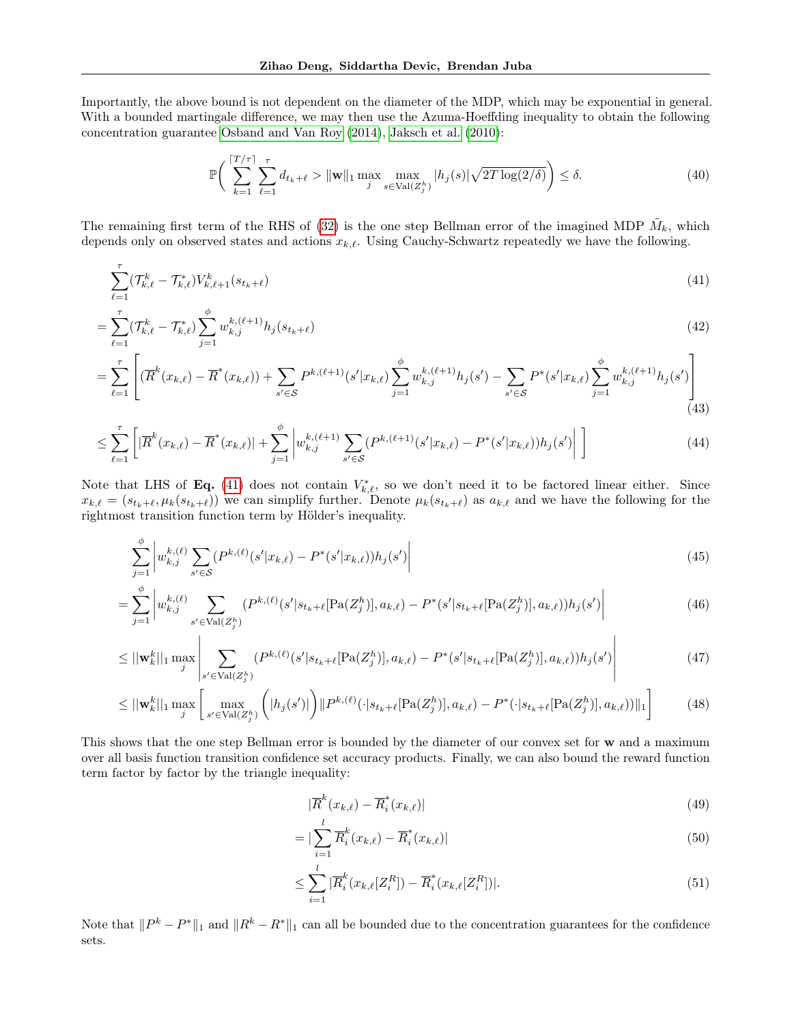Importantly, the above bound is not dependent on the diameter of the MDP, which may be exponential in general. With a bounded martingale difference, we may then use the Azuma-Hoeffding inequality to obtain the following concentration guarantee [Osband and Van Roy](#page-9-2) [\(2014\)](#page-9-2), [Jaksch et al.](#page-9-8) [\(2010\)](#page-9-8):

<span id="page-20-1"></span><span id="page-20-0"></span>
$$
\mathbb{P}\bigg(\sum_{k=1}^{\lceil T/\tau \rceil} \sum_{\ell=1}^{\tau} d_{t_k+\ell} > \|\mathbf{w}\|_1 \max_{j} \max_{s \in \text{Val}(Z_j^h)} |h_j(s)| \sqrt{2T \log(2/\delta)} \bigg) \le \delta. \tag{40}
$$

The remaining first term of the RHS of [\(32\)](#page-18-2) is the one step Bellman error of the imagined MDP  $\tilde{M}_k$ , which depends only on observed states and actions  $x_{k,\ell}$ . Using Cauchy-Schwartz repeatedly we have the following.

$$
\sum_{\ell=1}^{\tau} (\mathcal{T}_{k,\ell}^{k} - \mathcal{T}_{k,\ell}^{*}) V_{k,\ell+1}^{k}(s_{t_{k}+\ell})
$$
\n(41)

$$
=\sum_{\ell=1}^{\tau} (\mathcal{T}_{k,\ell}^{k} - \mathcal{T}_{k,\ell}^{*}) \sum_{j=1}^{\phi} w_{k,j}^{k,(\ell+1)} h_j(s_{t_k+\ell})
$$
\n(42)

$$
= \sum_{\ell=1}^{\tau} \left[ (\overline{R}^k(x_{k,\ell}) - \overline{R}^*(x_{k,\ell})) + \sum_{s' \in \mathcal{S}} P^{k,(\ell+1)}(s'|x_{k,\ell}) \sum_{j=1}^{\phi} w_{k,j}^{k,(\ell+1)} h_j(s') - \sum_{s' \in \mathcal{S}} P^*(s'|x_{k,\ell}) \sum_{j=1}^{\phi} w_{k,j}^{k,(\ell+1)} h_j(s') \right] \tag{43}
$$

$$
\leq \sum_{\ell=1}^{\tau} \left[ |\overline{R}^k(x_{k,\ell}) - \overline{R}^*(x_{k,\ell})| + \sum_{j=1}^{\phi} \left| w_{k,j}^{k,(\ell+1)} \sum_{s' \in \mathcal{S}} (P^{k,(\ell+1)}(s'|x_{k,\ell}) - P^*(s'|x_{k,\ell})) h_j(s') \right| \right] \tag{44}
$$

Note that LHS of Eq. [\(41\)](#page-20-0) does not contain  $V_{k,\ell}^*$ , so we don't need it to be factored linear either. Since  $x_{k,\ell} = (s_{t_k+\ell}, \mu_k(s_{t_k+\ell}))$  we can simplify further. Denote  $\mu_k(s_{t_k+\ell})$  as  $a_{k,\ell}$  and we have the following for the rightmost transition function term by Hölder's inequality.

$$
\sum_{j=1}^{\phi} \left| w_{k,j}^{k,(\ell)} \sum_{s' \in \mathcal{S}} (P^{k,(\ell)}(s'|x_{k,\ell}) - P^*(s'|x_{k,\ell})) h_j(s') \right| \tag{45}
$$

$$
=\sum_{j=1}^{\phi} \left| w_{k,j}^{k,(\ell)} \sum_{s' \in \text{Val}(Z_j^h)} (P^{k,(\ell)}(s'|s_{t_k+\ell}[\text{Pa}(Z_j^h)], a_{k,\ell}) - P^*(s'|s_{t_k+\ell}[\text{Pa}(Z_j^h)], a_{k,\ell})) h_j(s') \right| \tag{46}
$$

$$
\leq ||\mathbf{w}_{k}^{k}||_{1} \max_{j} \left| \sum_{s' \in \text{Val}(Z_{j}^{h})} (P^{k,(\ell)}(s'|s_{t_{k}+\ell}[\text{Pa}(Z_{j}^{h})], a_{k,\ell}) - P^{*}(s'|s_{t_{k}+\ell}[\text{Pa}(Z_{j}^{h})], a_{k,\ell}))h_{j}(s') \right| \tag{47}
$$

$$
\leq ||\mathbf{w}_{k}^{k}||_{1} \max_{j} \left[ \max_{s' \in \text{Val}(Z_{j}^{h})} \left( |h_{j}(s')| \right) ||P^{k,(\ell)}(\cdot|s_{t_{k}+\ell}[\text{Pa}(Z_{j}^{h})], a_{k,\ell}) - P^{*}(\cdot|s_{t_{k}+\ell}[\text{Pa}(Z_{j}^{h})], a_{k,\ell}))||_{1} \right] \tag{48}
$$

This shows that the one step Bellman error is bounded by the diameter of our convex set for w and a maximum over all basis function transition confidence set accuracy products. Finally, we can also bound the reward function term factor by factor by the triangle inequality:

<span id="page-20-2"></span>
$$
|\overline{R}^k(x_{k,\ell}) - \overline{R}^*_i(x_{k,\ell})| \tag{49}
$$

$$
= |\sum_{i=1}^{l} \overline{R}_{i}^{k}(x_{k,\ell}) - \overline{R}_{i}^{*}(x_{k,\ell})|
$$
\n(50)

$$
\leq \sum_{i=1}^{l} |\overline{R}_i^k(x_{k,\ell}[Z_i^R]) - \overline{R}_i^*(x_{k,\ell}[Z_i^R])|.
$$
\n(51)

Note that  $||P^k - P^*||_1$  and  $||R^k - R^*||_1$  can all be bounded due to the concentration guarantees for the confidence sets.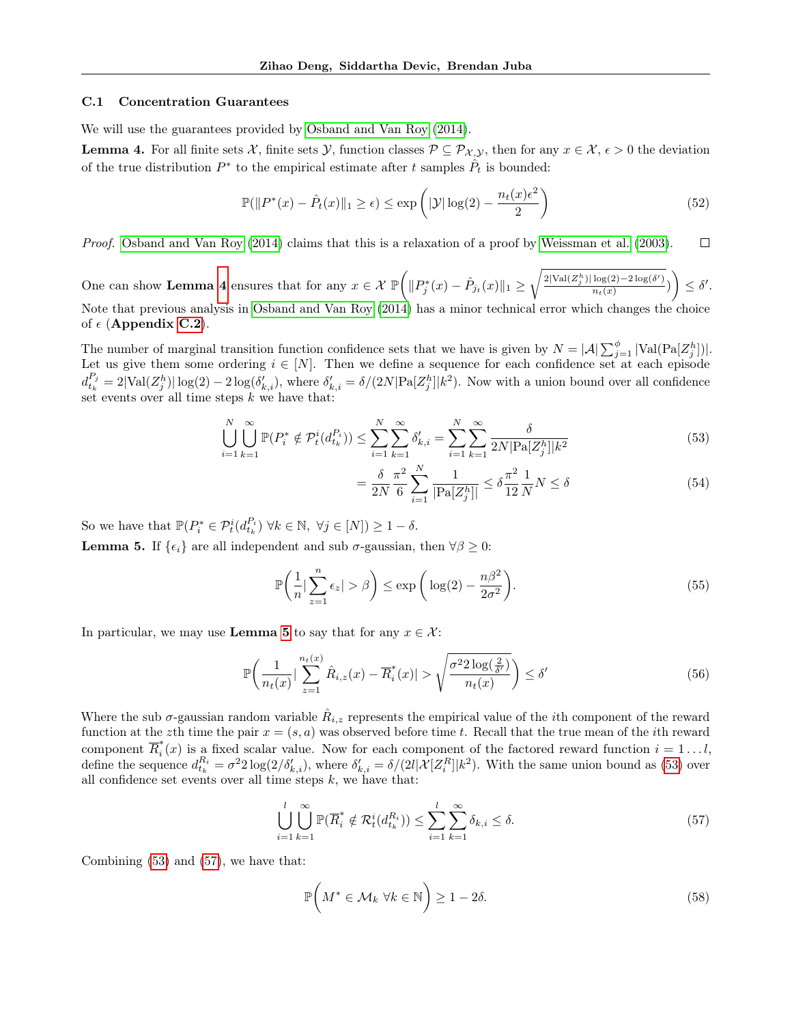### C.1 Concentration Guarantees

We will use the guarantees provided by [Osband and Van Roy](#page-9-2) [\(2014\)](#page-9-2).

<span id="page-21-0"></span>**Lemma 4.** For all finite sets X, finite sets  $\mathcal{Y}$ , function classes  $\mathcal{P} \subseteq \mathcal{P}_{\mathcal{X},\mathcal{Y}}$ , then for any  $x \in \mathcal{X}, \epsilon > 0$  the deviation of the true distribution  $P^*$  to the empirical estimate after t samples  $\hat{P}_t$  is bounded:

$$
\mathbb{P}(\|P^*(x) - \hat{P}_t(x)\|_1 \ge \epsilon) \le \exp\left(|\mathcal{Y}| \log(2) - \frac{n_t(x)\epsilon^2}{2}\right) \tag{52}
$$

Proof. [Osband and Van Roy](#page-9-2) [\(2014\)](#page-9-2) claims that this is a relaxation of a proof by [Weissman et al.](#page-10-7) [\(2003\)](#page-10-7).  $\Box$ 

One can show Lemma [4](#page-21-0) ensures that for any  $x \in \mathcal{X}$   $\mathbb{P}(\Vert P_j^*(x) - \hat{P}_{j_t}(x) \Vert_1 \geq$  $\sqrt{2|\text{Val}(Z_j^h)|\log(2)-2\log(\delta')}$  $\frac{\log(2)-2\log(\delta')}{n_t(x)}$ )  $\leq \delta'.$ Note that previous analysis in [Osband and Van Roy](#page-9-2) [\(2014\)](#page-9-2) has a minor technical error which changes the choice of  $\epsilon$  (Appendix [C.2](#page-22-1)).

The number of marginal transition function confidence sets that we have is given by  $N = |\mathcal{A}| \sum_{j=1}^{\phi} |\text{Val}(Pa[Z_j^h])|$ . Let us give them some ordering  $i \in [N]$ . Then we define a sequence for each confidence set at each episode  $d_{t_k}^{P_j} = 2|\text{Val}(Z_j^h)| \log(2) - 2\log(\delta'_{k,i}),$  where  $\delta'_{k,i} = \delta/(2N|\text{Pa}[Z_j^h]|k^2)$ . Now with a union bound over all confidence set events over all time steps  $k$  we have that:

$$
\bigcup_{i=1}^{N} \bigcup_{k=1}^{\infty} \mathbb{P}(P_i^* \notin \mathcal{P}_t^i(d_{t_k}^{P_i})) \le \sum_{i=1}^{N} \sum_{k=1}^{\infty} \delta'_{k,i} = \sum_{i=1}^{N} \sum_{k=1}^{\infty} \frac{\delta}{2N|\text{Pa}[Z_j^h]|k^2}
$$
(53)

<span id="page-21-2"></span>
$$
= \frac{\delta}{2N} \frac{\pi^2}{6} \sum_{i=1}^{N} \frac{1}{|\text{Pa}[Z_j^h]|} \le \delta \frac{\pi^2}{12} \frac{1}{N} N \le \delta
$$
 (54)

<span id="page-21-1"></span>So we have that  $\mathbb{P}(P_i^* \in \mathcal{P}_t^i(d_{t_k}^{P_i}) \ \forall k \in \mathbb{N}, \ \forall j \in [N]) \geq 1 - \delta.$ **Lemma 5.** If  $\{\epsilon_i\}$  are all independent and sub  $\sigma$ -gaussian, then  $\forall \beta \geq 0$ :

$$
\mathbb{P}\left(\frac{1}{n}\left|\sum_{z=1}^{n}\epsilon_z\right|>\beta\right) \le \exp\left(\log(2)-\frac{n\beta^2}{2\sigma^2}\right). \tag{55}
$$

In particular, we may use **Lemma [5](#page-21-1)** to say that for any  $x \in \mathcal{X}$ :

$$
\mathbb{P}\bigg(\frac{1}{n_t(x)} \big|\sum_{z=1}^{n_t(x)} \hat{R}_{i,z}(x) - \overline{R}_i^*(x)\big| > \sqrt{\frac{\sigma^2 2\log(\frac{2}{\delta'})}{n_t(x)}}\bigg) \le \delta'\tag{56}
$$

Where the sub  $\sigma$ -gaussian random variable  $\hat{R}_{i,z}$  represents the empirical value of the *i*th component of the reward function at the zth time the pair  $x = (s, a)$  was observed before time t. Recall that the true mean of the *i*th reward component  $\overline{R}_{i}^{*}$  $\int_{i}^{x}(x)$  is a fixed scalar value. Now for each component of the factored reward function  $i = 1...l$ , define the sequence  $d_{t_k}^{R_i} = \sigma^2 2 \log(2/\delta'_{k,i})$ , where  $\delta'_{k,i} = \delta/(2l|\mathcal{X}[Z_i^R]|k^2)$ . With the same union bound as [\(53\)](#page-21-2) over all confidence set events over all time steps  $k$ , we have that:

$$
\bigcup_{i=1}^{l} \bigcup_{k=1}^{\infty} \mathbb{P}(\overline{R}_{i}^{*} \notin \mathcal{R}_{t}^{i}(d_{t_{k}}^{R_{i}})) \leq \sum_{i=1}^{l} \sum_{k=1}^{\infty} \delta_{k,i} \leq \delta.
$$
\n(57)

Combining [\(53\)](#page-21-2) and [\(57\)](#page-21-3), we have that:

<span id="page-21-3"></span>
$$
\mathbb{P}\left(M^* \in \mathcal{M}_k \ \forall k \in \mathbb{N}\right) \ge 1 - 2\delta. \tag{58}
$$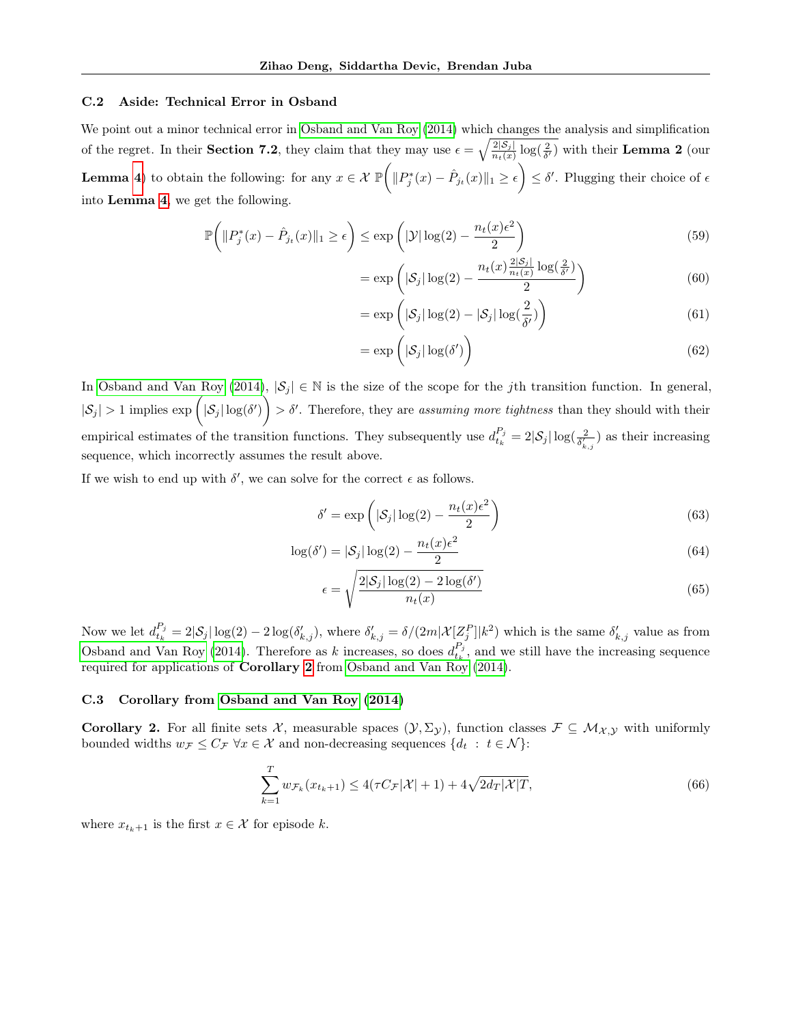### <span id="page-22-1"></span>C.2 Aside: Technical Error in Osband

We point out a minor technical error in [Osband and Van Roy](#page-9-2) [\(2014\)](#page-9-2) which changes the analysis and simplification of the regret. In their **Section 7.2**, they claim that they may use  $\epsilon = \sqrt{\frac{2|\mathcal{S}_j|}{n_t(x)}\log(\frac{2}{\delta'})}$  with their **Lemma 2** (our **Lemma** [4](#page-21-0)) to obtain the following: for any  $x \in \mathcal{X} \mathbb{P}(|P_j^*(x) - \hat{P}_{j_t}(x)||_1 \ge \epsilon) \le \delta'$ . Plugging their choice of  $\epsilon$ into Lemma [4](#page-21-0), we get the following.

$$
\mathbb{P}\left(\|P_j^*(x) - \hat{P}_{j_t}(x)\|_1 \ge \epsilon\right) \le \exp\left(|\mathcal{Y}| \log(2) - \frac{n_t(x)\epsilon^2}{2}\right) \tag{59}
$$

$$
= \exp\left(|\mathcal{S}_j| \log(2) - \frac{n_t(x)\frac{2|\mathcal{S}_j|}{n_t(x)} \log(\frac{2}{\delta'})}{2}\right) \tag{60}
$$

$$
= \exp\left(|\mathcal{S}_j| \log(2) - |\mathcal{S}_j| \log(\frac{2}{\delta'})\right) \tag{61}
$$

$$
= \exp\left(|\mathcal{S}_j| \log(\delta')\right) \tag{62}
$$

In [Osband and Van Roy](#page-9-2) [\(2014\)](#page-9-2),  $|\mathcal{S}_i| \in \mathbb{N}$  is the size of the scope for the jth transition function. In general,  $|S_j| > 1$  implies  $\exp\left(|S_j|\log(\delta')\right) > \delta'$ . Therefore, they are assuming more tightness than they should with their empirical estimates of the transition functions. They subsequently use  $d_{t_k}^{P_j} = 2|\mathcal{S}_j|\log(\frac{2}{\delta'_{k,j}})$  as their increasing sequence, which incorrectly assumes the result above.

If we wish to end up with  $\delta'$ , we can solve for the correct  $\epsilon$  as follows.

$$
\delta' = \exp\left(|\mathcal{S}_j| \log(2) - \frac{n_t(x)\epsilon^2}{2}\right) \tag{63}
$$

$$
\log(\delta') = |\mathcal{S}_j| \log(2) - \frac{n_t(x)\epsilon^2}{2} \tag{64}
$$

$$
\epsilon = \sqrt{\frac{2|\mathcal{S}_j| \log(2) - 2\log(\delta')}{n_t(x)}}
$$
(65)

Now we let  $d_{t_k}^{P_j} = 2|\mathcal{S}_j|\log(2) - 2\log(\delta'_{k,j}),$  where  $\delta'_{k,j} = \delta/(2m|\mathcal{X}[Z_j^P]|k^2)$  which is the same  $\delta'_{k,j}$  value as from [Osband and Van Roy](#page-9-2) [\(2014\)](#page-9-2). Therefore as k increases, so does  $d_{t_k}^{P_j}$ , and we still have the increasing sequence required for applications of **Corollary [2](#page-22-0)** from [Osband and Van Roy](#page-9-2) [\(2014\)](#page-9-2).

### C.3 Corollary from [Osband and Van Roy](#page-9-2) [\(2014\)](#page-9-2)

<span id="page-22-0"></span>Corollary 2. For all finite sets X, measurable spaces  $(\mathcal{Y}, \Sigma_{\mathcal{Y}})$ , function classes  $\mathcal{F} \subseteq \mathcal{M}_{\mathcal{X},\mathcal{Y}}$  with uniformly bounded widths  $w_{\mathcal{F}} \leq C_{\mathcal{F}} \ \forall x \in \mathcal{X}$  and non-decreasing sequences  $\{d_t : t \in \mathcal{N}\}\$ :

$$
\sum_{k=1}^{T} w_{\mathcal{F}_k}(x_{t_k+1}) \le 4(\tau C_{\mathcal{F}}|\mathcal{X}| + 1) + 4\sqrt{2d_T|\mathcal{X}|T},\tag{66}
$$

where  $x_{t_k+1}$  is the first  $x \in \mathcal{X}$  for episode k.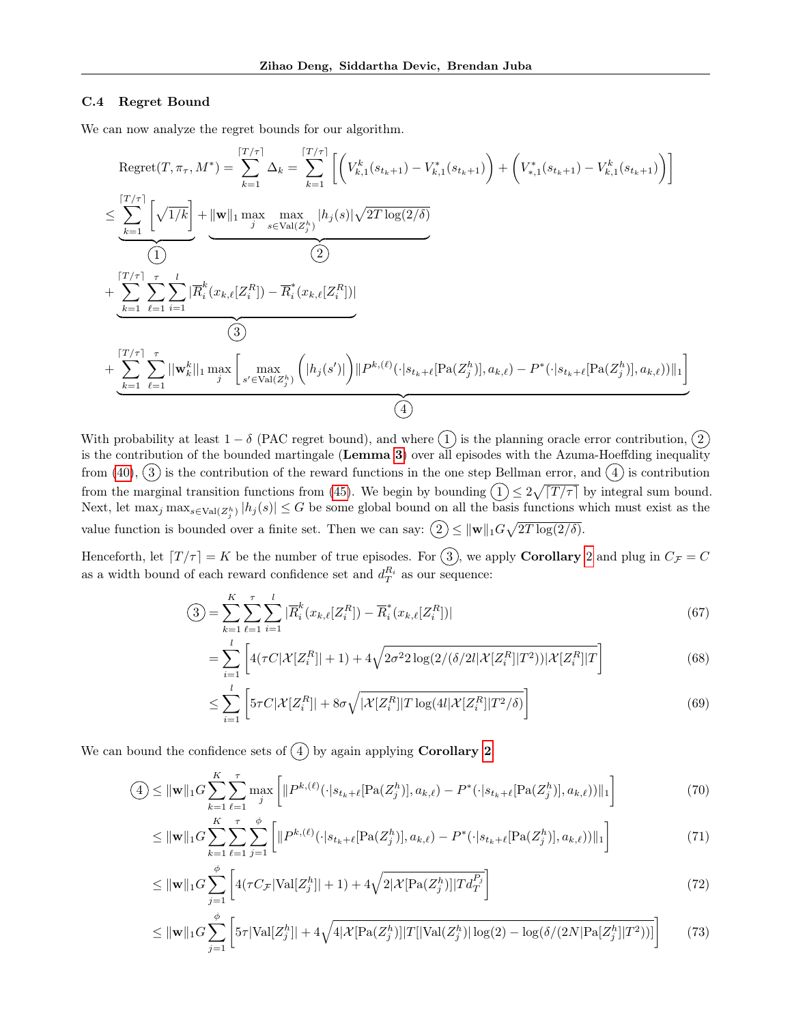### C.4 Regret Bound

We can now analyze the regret bounds for our algorithm.

$$
\begin{split}\n\text{Regret}(T, \pi_{\tau}, M^*) &= \sum_{k=1}^{\lceil T/\tau \rceil} \Delta_k = \sum_{k=1}^{\lceil T/\tau \rceil} \left[ \left( V_{k,1}^k(s_{t_{k+1}}) - V_{k,1}^*(s_{t_{k+1}}) \right) + \left( V_{*,1}^*(s_{t_{k+1}}) - V_{k,1}^k(s_{t_{k+1}}) \right) \right] \\
& \leq \underbrace{\sum_{k=1}^{\lceil T/\tau \rceil} \left[ \sqrt{1/k} \right]}_{\text{(1)}} + \underbrace{\left[ \underbrace{\mathbf{w} \parallel_1 \max_{j} \max_{s \in \text{Val}(Z_j^h)} |h_j(s)| \sqrt{2T \log(2/\delta)}}_{\text{(2)}} \\
&+ \underbrace{\sum_{k=1}^{\lceil T/\tau \rceil} \sum_{\ell=1}^{\tau} \sum_{i=1}^{l} |\overline{R}_i^k(x_{k,\ell}[Z_i^R]) - \overline{R}_i^*(x_{k,\ell}[Z_i^R])|}_{\text{(3)}} \\
&+ \underbrace{\sum_{k=1}^{\lceil T/\tau \rceil} \sum_{\ell=1}^{\tau} \left| \|\mathbf{w}_k^k\|_1 \max_{j} \left[ \max_{s' \in \text{Val}(Z_j^h)} \left( |h_j(s')| \right) \right\| P^{k,(\ell)}(\cdot | s_{t_{k}+\ell}[\text{Pa}(Z_j^h)], a_{k,\ell}) - P^*(\cdot | s_{t_{k}+\ell}[\text{Pa}(Z_j^h)], a_{k,\ell}) \right) \|_1 \right]}_{\text{(4)}}\n\end{split}
$$

With probability at least  $1 - \delta$  (PAC regret bound), and where  $(1)$  is the planning oracle error contribution,  $(2)$ is the contribution of the bounded martingale (Lemma [3](#page-19-1)) over all episodes with the Azuma-Hoeffding inequality from  $(40)$ ,  $(3)$  is the contribution of the reward functions in the one step Bellman error, and  $(4)$  is contribution from the marginal transition functions from [\(45\)](#page-20-2). We begin by bounding  $(1) \leq 2\sqrt{|T/\tau|}$  by integral sum bound. Next, let  $\max_j \max_{s \in \text{Val}(Z_j^h)} |h_j(s)| \leq G$  be some global bound on all the basis functions which must exist as the value function is bounded over a finite set. Then we can say:  $(2) \le ||\mathbf{w}||_1 G \sqrt{2T \log(2/\delta)}$ .

Henceforth, let  $\lceil T/\tau \rceil = K$  be the number of true episodes. For  $\binom{3}{3}$ , we apply **Corollary** [2](#page-22-0) and plug in  $C_{\mathcal{F}} = C$ as a width bound of each reward confidence set and  $d_T^{R_i}$  as our sequence:

$$
\text{(3)} = \sum_{k=1}^{K} \sum_{\ell=1}^{\tau} \sum_{i=1}^{l} |\overline{R}_i^k(x_{k,\ell}[Z_i^R]) - \overline{R}_i^*(x_{k,\ell}[Z_i^R])| \tag{67}
$$

$$
= \sum_{i=1}^{l} \left[ 4(\tau C |\mathcal{X}[Z_i^R]| + 1) + 4\sqrt{2\sigma^2 2\log(2/(\delta/2l|\mathcal{X}[Z_i^R]|T^2))|\mathcal{X}[Z_i^R]|T} \right]
$$
(68)

<span id="page-23-1"></span><span id="page-23-0"></span>
$$
\leq \sum_{i=1}^{l} \left[ 5\tau C|\mathcal{X}[Z_i^R]| + 8\sigma \sqrt{|\mathcal{X}[Z_i^R]|T\log(4l|\mathcal{X}[Z_i^R]|T^2/\delta)} \right]
$$
(69)

We can bound the confidence sets of  $\overline{4}$  by again applying **Corollary [2](#page-22-0).** 

$$
(4) \leq \|\mathbf{w}\|_{1} G \sum_{k=1}^{K} \sum_{\ell=1}^{r} \max_{j} \left[ \|P^{k,(\ell)}(\cdot|s_{t_{k}+\ell}[\text{Pa}(Z_{j}^{h})], a_{k,\ell}) - P^{*}(\cdot|s_{t_{k}+\ell}[\text{Pa}(Z_{j}^{h})], a_{k,\ell}))\|_{1} \right]
$$
(70)

$$
\leq \|\mathbf{w}\|_{1}C\sum_{k=1}^{K}\sum_{\ell=1}^{\tau}\sum_{j=1}^{\phi}\left[\|P^{k,(\ell)}(\cdot|s_{t_{k}+\ell}[\text{Pa}(Z_{j}^{h})],a_{k,\ell})-P^{*}(\cdot|s_{t_{k}+\ell}[\text{Pa}(Z_{j}^{h})],a_{k,\ell}))\|_{1}\right]
$$
(71)

$$
\leq \|\mathbf{w}\|_{1} G \sum_{j=1}^{\phi} \left[ 4(\tau C_{\mathcal{F}} |\text{Val}[Z_{j}^{h}]| + 1) + 4\sqrt{2|\mathcal{X}[\text{Pa}(Z_{j}^{h})]|Td_{T}^{P_{j}}}\right]
$$
(72)

$$
\leq \|\mathbf{w}\|_{1} G \sum_{j=1}^{\phi} \left[ 5\tau |\text{Val}[Z_j^h]| + 4\sqrt{4|\mathcal{X}[\text{Pa}(Z_j^h)]|T[|\text{Val}(Z_j^h)|\log(2) - \log(\delta/(2N|\text{Pa}[Z_j^h]|T^2))]} \right] \tag{73}
$$